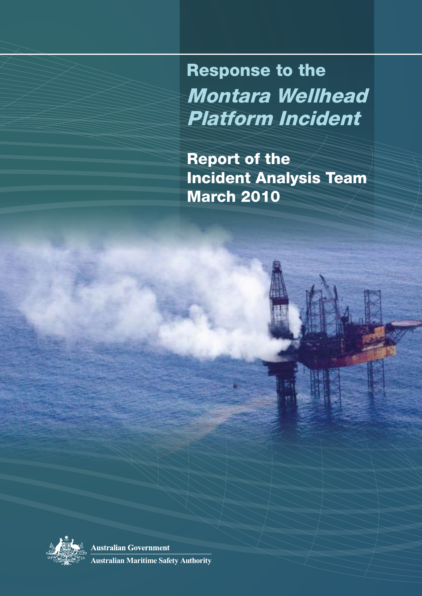Response to the Montara Wellhead Platform Incident

Report of the Incident Analysis Team March 2010



**Australian Government Australian Maritime Safety Authority**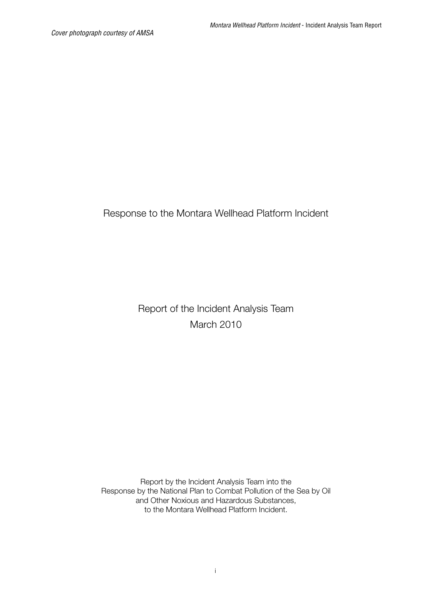# Response to the Montara Wellhead Platform Incident

Report of the Incident Analysis Team March 2010

Report by the Incident Analysis Team into the Response by the National Plan to Combat Pollution of the Sea by Oil and Other Noxious and Hazardous Substances, to the Montara Wellhead Platform Incident.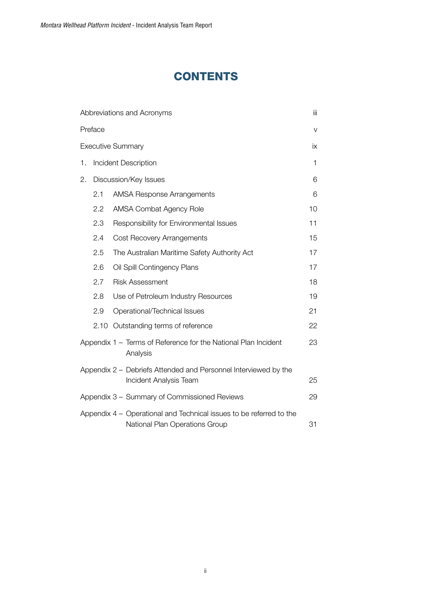# **CONTENTS**

| Abbreviations and Acronyms                                                                                  |                       |                                              | Ш  |  |
|-------------------------------------------------------------------------------------------------------------|-----------------------|----------------------------------------------|----|--|
| Preface<br>V                                                                                                |                       |                                              |    |  |
| <b>Executive Summary</b><br>ix                                                                              |                       |                                              |    |  |
| 1.                                                                                                          | Incident Description  |                                              |    |  |
| 2.                                                                                                          | Discussion/Key Issues |                                              |    |  |
|                                                                                                             | 2.1                   | <b>AMSA Response Arrangements</b>            | 6  |  |
|                                                                                                             | 2.2                   | <b>AMSA Combat Agency Role</b>               | 10 |  |
|                                                                                                             | 2.3                   | Responsibility for Environmental Issues      | 11 |  |
|                                                                                                             | 2.4                   | Cost Recovery Arrangements                   | 15 |  |
|                                                                                                             | 2.5                   | The Australian Maritime Safety Authority Act | 17 |  |
|                                                                                                             | 2.6                   | Oil Spill Contingency Plans                  | 17 |  |
|                                                                                                             | 2.7                   | <b>Risk Assessment</b>                       | 18 |  |
|                                                                                                             | 2.8                   | Use of Petroleum Industry Resources          | 19 |  |
|                                                                                                             | 2.9                   | Operational/Technical Issues                 | 21 |  |
|                                                                                                             | 2.10                  | Outstanding terms of reference               | 22 |  |
| Appendix 1 – Terms of Reference for the National Plan Incident<br>Analysis                                  |                       |                                              | 23 |  |
| Appendix 2 – Debriefs Attended and Personnel Interviewed by the<br>Incident Analysis Team                   |                       | 25                                           |    |  |
| Appendix 3 - Summary of Commissioned Reviews                                                                |                       |                                              | 29 |  |
| Appendix 4 – Operational and Technical issues to be referred to the<br>National Plan Operations Group<br>31 |                       |                                              |    |  |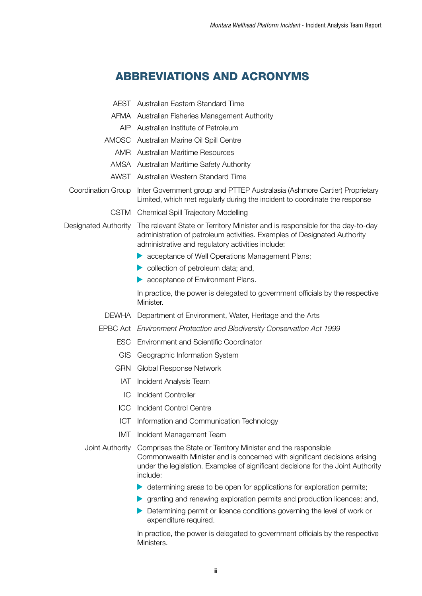# Abbreviations and Acronyms

AEST Australian Eastern Standard Time AFMA Australian Fisheries Management Authority AIP Australian Institute of Petroleum AMOSC Australian Marine Oil Spill Centre AMR Australian Maritime Resources AMSA Australian Maritime Safety Authority AWST Australian Western Standard Time Coordination Group Inter Government group and PTTEP Australasia (Ashmore Cartier) Proprietary Limited, which met regularly during the incident to coordinate the response CSTM Chemical Spill Trajectory Modelling Designated Authority The relevant State or Territory Minister and is responsible for the day-to-day administration of petroleum activities. Examples of Designated Authority administrative and regulatory activities include: **A** acceptance of Well Operations Management Plans; collection of petroleum data; and, **A** acceptance of Environment Plans. In practice, the power is delegated to government officials by the respective Minister. DEWHA Department of Environment, Water, Heritage and the Arts EPBC Act *Environment Protection and Biodiversity Conservation Act 1999* ESC Environment and Scientific Coordinator GIS Geographic Information System GRN Global Response Network IAT Incident Analysis Team IC Incident Controller ICC Incident Control Centre ICT Information and Communication Technology IMT Incident Management Team Joint Authority Comprises the State or Territory Minister and the responsible Commonwealth Minister and is concerned with significant decisions arising under the legislation. Examples of significant decisions for the Joint Authority include: determining areas to be open for applications for exploration permits; **P** granting and renewing exploration permits and production licences; and, Determining permit or licence conditions governing the level of work or expenditure required.

In practice, the power is delegated to government officials by the respective Ministers.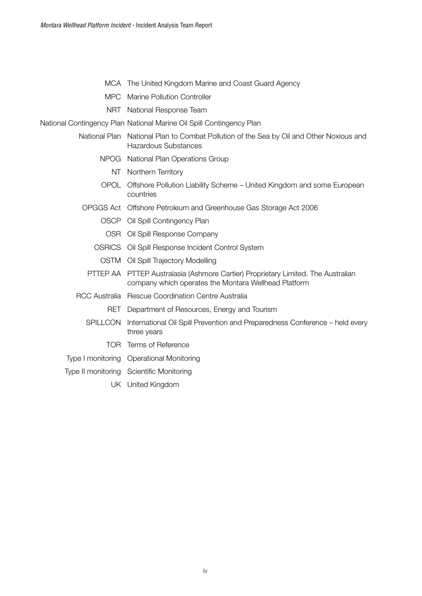- MCA The United Kingdom Marine and Coast Guard Agency
- MPC Marine Pollution Controller
- NRT National Response Team
- National Contingency Plan National Marine Oil Spill Contingency Plan
	- National Plan National Plan to Combat Pollution of the Sea by Oil and Other Noxious and Hazardous Substances
		- NPOG National Plan Operations Group
			- NT Northern Territory
		- OPOL Offshore Pollution Liability Scheme United Kingdom and some European countries
	- OPGGS Act Offshore Petroleum and Greenhouse Gas Storage Act 2006
		- OSCP Oil Spill Contingency Plan
		- OSR Oil Spill Response Company
		- OSRICS Oil Spill Response Incident Control System
		- OSTM Oil Spill Trajectory Modelling
		- PTTEP AA PTTEP Australasia (Ashmore Cartier) Proprietary Limited. The Australian company which operates the Montara Wellhead Platform
	- RCC Australia Rescue Coordination Centre Australia
		- RET Department of Resources, Energy and Tourism
		- SPILLCON International Oil Spill Prevention and Preparedness Conference held every three years
		- TOR Terms of Reference
	- Type I monitoring Operational Monitoring
	- Type II monitoring Scientific Monitoring
		- UK United Kingdom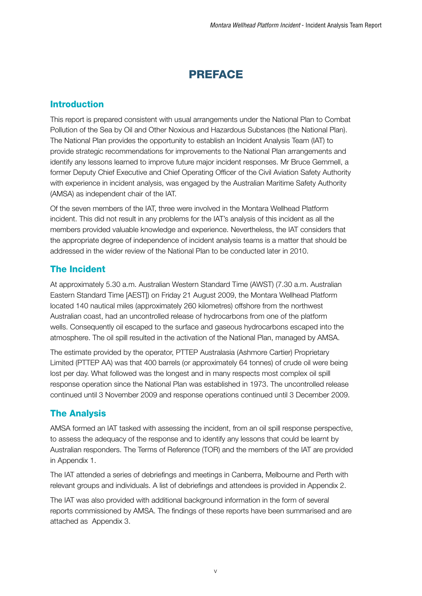# PREFACE

# Introduction

This report is prepared consistent with usual arrangements under the National Plan to Combat Pollution of the Sea by Oil and Other Noxious and Hazardous Substances (the National Plan). The National Plan provides the opportunity to establish an Incident Analysis Team (IAT) to provide strategic recommendations for improvements to the National Plan arrangements and identify any lessons learned to improve future major incident responses. Mr Bruce Gemmell, a former Deputy Chief Executive and Chief Operating Officer of the Civil Aviation Safety Authority with experience in incident analysis, was engaged by the Australian Maritime Safety Authority (AMSA) as independent chair of the IAT.

Of the seven members of the IAT, three were involved in the Montara Wellhead Platform incident. This did not result in any problems for the IAT's analysis of this incident as all the members provided valuable knowledge and experience. Nevertheless, the IAT considers that the appropriate degree of independence of incident analysis teams is a matter that should be addressed in the wider review of the National Plan to be conducted later in 2010.

# The Incident

At approximately 5.30 a.m. Australian Western Standard Time (AWST) (7.30 a.m. Australian Eastern Standard Time [AEST]) on Friday 21 August 2009, the Montara Wellhead Platform located 140 nautical miles (approximately 260 kilometres) offshore from the northwest Australian coast, had an uncontrolled release of hydrocarbons from one of the platform wells. Consequently oil escaped to the surface and gaseous hydrocarbons escaped into the atmosphere. The oil spill resulted in the activation of the National Plan, managed by AMSA.

The estimate provided by the operator, PTTEP Australasia (Ashmore Cartier) Proprietary Limited (PTTEP AA) was that 400 barrels (or approximately 64 tonnes) of crude oil were being lost per day. What followed was the longest and in many respects most complex oil spill response operation since the National Plan was established in 1973. The uncontrolled release continued until 3 November 2009 and response operations continued until 3 December 2009.

# The Analysis

AMSA formed an IAT tasked with assessing the incident, from an oil spill response perspective, to assess the adequacy of the response and to identify any lessons that could be learnt by Australian responders. The Terms of Reference (TOR) and the members of the IAT are provided in Appendix 1.

The IAT attended a series of debriefings and meetings in Canberra, Melbourne and Perth with relevant groups and individuals. A list of debriefings and attendees is provided in Appendix 2.

The IAT was also provided with additional background information in the form of several reports commissioned by AMSA. The findings of these reports have been summarised and are attached as Appendix 3.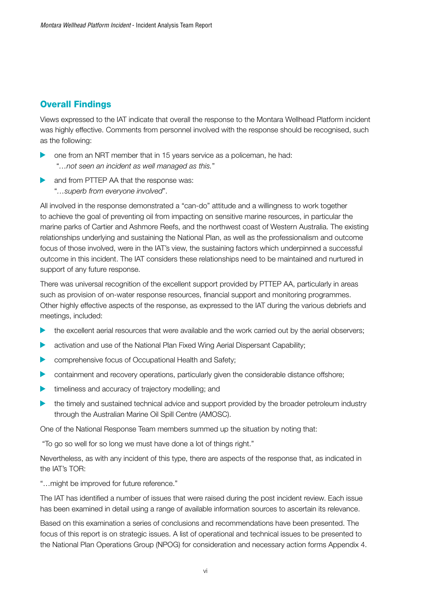# Overall Findings

Views expressed to the IAT indicate that overall the response to the Montara Wellhead Platform incident was highly effective. Comments from personnel involved with the response should be recognised, such as the following:

- **D** one from an NRT member that in 15 years service as a policeman, he had: "*…not seen an incident as well managed as this.*"
- **A** and from PTTEP AA that the response was:
	- "*…superb from everyone involved*".

All involved in the response demonstrated a "can-do" attitude and a willingness to work together to achieve the goal of preventing oil from impacting on sensitive marine resources, in particular the marine parks of Cartier and Ashmore Reefs, and the northwest coast of Western Australia. The existing relationships underlying and sustaining the National Plan, as well as the professionalism and outcome focus of those involved, were in the IAT's view, the sustaining factors which underpinned a successful outcome in this incident. The IAT considers these relationships need to be maintained and nurtured in support of any future response.

There was universal recognition of the excellent support provided by PTTEP AA, particularly in areas such as provision of on-water response resources, financial support and monitoring programmes. Other highly effective aspects of the response, as expressed to the IAT during the various debriefs and meetings, included:

- the excellent aerial resources that were available and the work carried out by the aerial observers;
- activation and use of the National Plan Fixed Wing Aerial Dispersant Capability;
- comprehensive focus of Occupational Health and Safety;
- **EXECONTERED EXECONTER A** containment and recovery operations, particularly given the considerable distance offshore;
- timeliness and accuracy of trajectory modelling; and  $\blacktriangleright$
- $\blacktriangleright$ the timely and sustained technical advice and support provided by the broader petroleum industry through the Australian Marine Oil Spill Centre (AMOSC).

One of the National Response Team members summed up the situation by noting that:

"To go so well for so long we must have done a lot of things right."

Nevertheless, as with any incident of this type, there are aspects of the response that, as indicated in the IAT's TOR:

"…might be improved for future reference."

The IAT has identified a number of issues that were raised during the post incident review. Each issue has been examined in detail using a range of available information sources to ascertain its relevance.

Based on this examination a series of conclusions and recommendations have been presented. The focus of this report is on strategic issues. A list of operational and technical issues to be presented to the National Plan Operations Group (NPOG) for consideration and necessary action forms Appendix 4.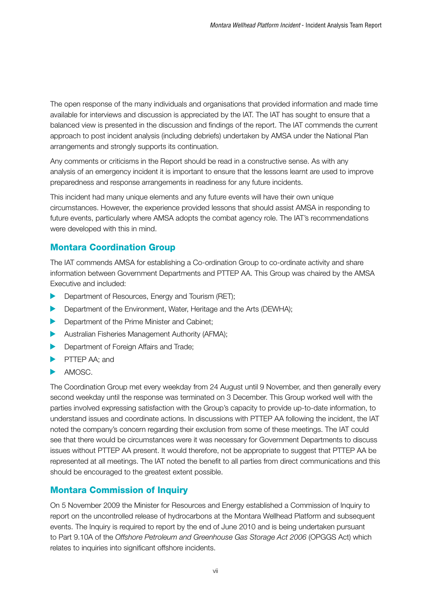The open response of the many individuals and organisations that provided information and made time available for interviews and discussion is appreciated by the IAT. The IAT has sought to ensure that a balanced view is presented in the discussion and findings of the report. The IAT commends the current approach to post incident analysis (including debriefs) undertaken by AMSA under the National Plan arrangements and strongly supports its continuation.

Any comments or criticisms in the Report should be read in a constructive sense. As with any analysis of an emergency incident it is important to ensure that the lessons learnt are used to improve preparedness and response arrangements in readiness for any future incidents.

This incident had many unique elements and any future events will have their own unique circumstances. However, the experience provided lessons that should assist AMSA in responding to future events, particularly where AMSA adopts the combat agency role. The IAT's recommendations were developed with this in mind.

# Montara Coordination Group

The IAT commends AMSA for establishing a Co-ordination Group to co-ordinate activity and share information between Government Departments and PTTEP AA. This Group was chaired by the AMSA Executive and included:

- Department of Resources, Energy and Tourism (RET);
- $\blacktriangleright$ Department of the Environment, Water, Heritage and the Arts (DEWHA);
- Department of the Prime Minister and Cabinet;
- Australian Fisheries Management Authority (AFMA);
- $\blacktriangleright$ Department of Foreign Affairs and Trade;
- PTTEP AA; and
- AMOSC.

The Coordination Group met every weekday from 24 August until 9 November, and then generally every second weekday until the response was terminated on 3 December. This Group worked well with the parties involved expressing satisfaction with the Group's capacity to provide up-to-date information, to understand issues and coordinate actions. In discussions with PTTEP AA following the incident, the IAT noted the company's concern regarding their exclusion from some of these meetings. The IAT could see that there would be circumstances were it was necessary for Government Departments to discuss issues without PTTEP AA present. It would therefore, not be appropriate to suggest that PTTEP AA be represented at all meetings. The IAT noted the benefit to all parties from direct communications and this should be encouraged to the greatest extent possible.

# Montara Commission of Inquiry

On 5 November 2009 the Minister for Resources and Energy established a Commission of Inquiry to report on the uncontrolled release of hydrocarbons at the Montara Wellhead Platform and subsequent events. The Inquiry is required to report by the end of June 2010 and is being undertaken pursuant to Part 9.10A of the *Offshore Petroleum and Greenhouse Gas Storage Act 2006* (OPGGS Act) which relates to inquiries into significant offshore incidents.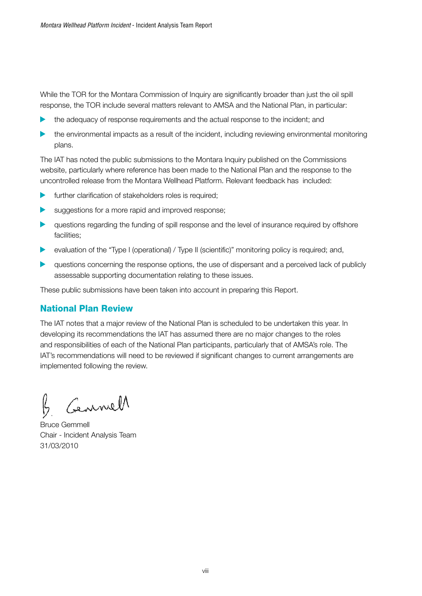While the TOR for the Montara Commission of Inquiry are significantly broader than just the oil spill response, the TOR include several matters relevant to AMSA and the National Plan, in particular:

- the adequacy of response requirements and the actual response to the incident; and
- the environmental impacts as a result of the incident, including reviewing environmental monitoring plans.

The IAT has noted the public submissions to the Montara Inquiry published on the Commissions website, particularly where reference has been made to the National Plan and the response to the uncontrolled release from the Montara Wellhead Platform. Relevant feedback has included:

- $\blacktriangleright$ further clarification of stakeholders roles is required;
- $\blacktriangleright$ suggestions for a more rapid and improved response;
- questions regarding the funding of spill response and the level of insurance required by offshore facilities;
- evaluation of the "Type I (operational) / Type II (scientific)" monitoring policy is required; and,
- **•** questions concerning the response options, the use of dispersant and a perceived lack of publicly assessable supporting documentation relating to these issues.

These public submissions have been taken into account in preparing this Report.

## National Plan Review

The IAT notes that a major review of the National Plan is scheduled to be undertaken this year. In developing its recommendations the IAT has assumed there are no major changes to the roles and responsibilities of each of the National Plan participants, particularly that of AMSA's role. The IAT's recommendations will need to be reviewed if significant changes to current arrangements are implemented following the review.

Gennell

Bruce Gemmell Chair - Incident Analysis Team 31/03/2010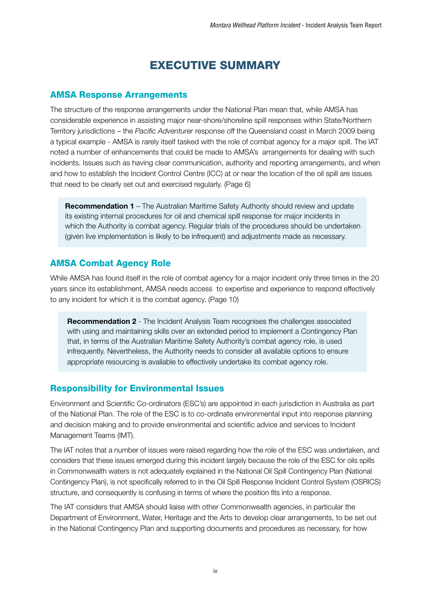# Executive Summary

# AMSA Response Arrangements

The structure of the response arrangements under the National Plan mean that, while AMSA has considerable experience in assisting major near-shore/shoreline spill responses within State/Northern Territory jurisdictions – the *Pacific Adventurer* response off the Queensland coast in March 2009 being a typical example - AMSA is rarely itself tasked with the role of combat agency for a major spill. The IAT noted a number of enhancements that could be made to AMSA's arrangements for dealing with such incidents. Issues such as having clear communication, authority and reporting arrangements, and when and how to establish the Incident Control Centre (ICC) at or near the location of the oil spill are issues that need to be clearly set out and exercised regularly. (Page 6)

**Recommendation 1** – The Australian Maritime Safety Authority should review and update its existing internal procedures for oil and chemical spill response for major incidents in which the Authority is combat agency. Regular trials of the procedures should be undertaken (given live implementation is likely to be infrequent) and adjustments made as necessary.

# AMSA Combat Agency Role

While AMSA has found itself in the role of combat agency for a major incident only three times in the 20 years since its establishment, AMSA needs access to expertise and experience to respond effectively to any incident for which it is the combat agency. (Page 10)

**Recommendation 2** - The Incident Analysis Team recognises the challenges associated with using and maintaining skills over an extended period to implement a Contingency Plan that, in terms of the Australian Maritime Safety Authority's combat agency role, is used infrequently. Nevertheless, the Authority needs to consider all available options to ensure appropriate resourcing is available to effectively undertake its combat agency role.

# Responsibility for Environmental Issues

Environment and Scientific Co-ordinators (ESC's) are appointed in each jurisdiction in Australia as part of the National Plan. The role of the ESC is to co-ordinate environmental input into response planning and decision making and to provide environmental and scientific advice and services to Incident Management Teams (IMT).

The IAT notes that a number of issues were raised regarding how the role of the ESC was undertaken, and considers that these issues emerged during this incident largely because the role of the ESC for oils spills in Commonwealth waters is not adequately explained in the National Oil Spill Contingency Plan (National Contingency Plan), is not specifically referred to in the Oil Spill Response Incident Control System (OSRICS) structure, and consequently is confusing in terms of where the position fits into a response.

The IAT considers that AMSA should liaise with other Commonwealth agencies, in particular the Department of Environment, Water, Heritage and the Arts to develop clear arrangements, to be set out in the National Contingency Plan and supporting documents and procedures as necessary, for how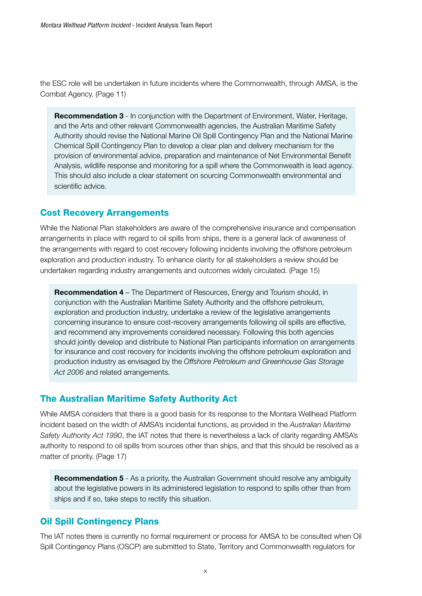the ESC role will be undertaken in future incidents where the Commonwealth, through AMSA, is the Combat Agency. (Page 11)

**Recommendation 3** - In conjunction with the Department of Environment, Water, Heritage, and the Arts and other relevant Commonwealth agencies, the Australian Maritime Safety Authority should revise the National Marine Oil Spill Contingency Plan and the National Marine Chemical Spill Contingency Plan to develop a clear plan and delivery mechanism for the provision of environmental advice, preparation and maintenance of Net Environmental Benefit Analysis, wildlife response and monitoring for a spill where the Commonwealth is lead agency. This should also include a clear statement on sourcing Commonwealth environmental and scientific advice.

### Cost Recovery Arrangements

While the National Plan stakeholders are aware of the comprehensive insurance and compensation arrangements in place with regard to oil spills from ships, there is a general lack of awareness of the arrangements with regard to cost recovery following incidents involving the offshore petroleum exploration and production industry. To enhance clarity for all stakeholders a review should be undertaken regarding industry arrangements and outcomes widely circulated. (Page 15)

**Recommendation 4** – The Department of Resources, Energy and Tourism should, in conjunction with the Australian Maritime Safety Authority and the offshore petroleum, exploration and production industry, undertake a review of the legislative arrangements concerning insurance to ensure cost-recovery arrangements following oil spills are effective, and recommend any improvements considered necessary. Following this both agencies should jointly develop and distribute to National Plan participants information on arrangements for insurance and cost recovery for incidents involving the offshore petroleum exploration and production industry as envisaged by the *Offshore Petroleum and Greenhouse Gas Storage Act 2006* and related arrangements.

#### The Australian Maritime Safety Authority Act

While AMSA considers that there is a good basis for its response to the Montara Wellhead Platform incident based on the width of AMSA's incidental functions, as provided in the *Australian Maritime Safety Authority Act 1990*, the IAT notes that there is nevertheless a lack of clarity regarding AMSA's authority to respond to oil spills from sources other than ships, and that this should be resolved as a matter of priority. (Page 17)

**Recommendation 5** - As a priority, the Australian Government should resolve any ambiguity about the legislative powers in its administered legislation to respond to spills other than from ships and if so, take steps to rectify this situation.

## Oil Spill Contingency Plans

The IAT notes there is currently no formal requirement or process for AMSA to be consulted when Oil Spill Contingency Plans (OSCP) are submitted to State, Territory and Commonwealth regulators for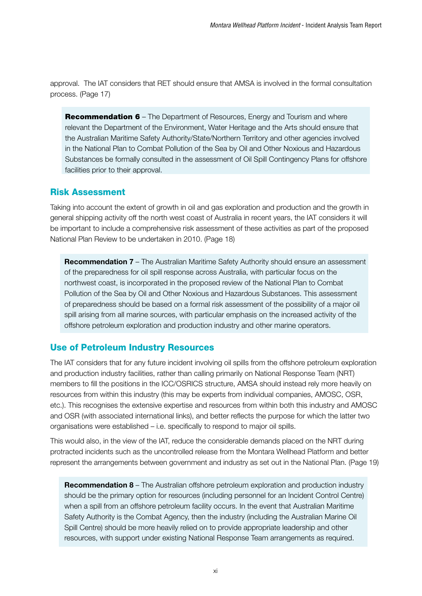approval. The IAT considers that RET should ensure that AMSA is involved in the formal consultation process. (Page 17)

**Recommendation 6** – The Department of Resources, Energy and Tourism and where relevant the Department of the Environment, Water Heritage and the Arts should ensure that the Australian Maritime Safety Authority/State/Northern Territory and other agencies involved in the National Plan to Combat Pollution of the Sea by Oil and Other Noxious and Hazardous Substances be formally consulted in the assessment of Oil Spill Contingency Plans for offshore facilities prior to their approval.

### Risk Assessment

Taking into account the extent of growth in oil and gas exploration and production and the growth in general shipping activity off the north west coast of Australia in recent years, the IAT considers it will be important to include a comprehensive risk assessment of these activities as part of the proposed National Plan Review to be undertaken in 2010. (Page 18)

**Recommendation 7** – The Australian Maritime Safety Authority should ensure an assessment of the preparedness for oil spill response across Australia, with particular focus on the northwest coast, is incorporated in the proposed review of the National Plan to Combat Pollution of the Sea by Oil and Other Noxious and Hazardous Substances. This assessment of preparedness should be based on a formal risk assessment of the possibility of a major oil spill arising from all marine sources, with particular emphasis on the increased activity of the offshore petroleum exploration and production industry and other marine operators.

## Use of Petroleum Industry Resources

The IAT considers that for any future incident involving oil spills from the offshore petroleum exploration and production industry facilities, rather than calling primarily on National Response Team (NRT) members to fill the positions in the ICC/OSRICS structure, AMSA should instead rely more heavily on resources from within this industry (this may be experts from individual companies, AMOSC, OSR, etc.). This recognises the extensive expertise and resources from within both this industry and AMOSC and OSR (with associated international links), and better reflects the purpose for which the latter two organisations were established – i.e. specifically to respond to major oil spills.

This would also, in the view of the IAT, reduce the considerable demands placed on the NRT during protracted incidents such as the uncontrolled release from the Montara Wellhead Platform and better represent the arrangements between government and industry as set out in the National Plan. (Page 19)

**Recommendation 8** – The Australian offshore petroleum exploration and production industry should be the primary option for resources (including personnel for an Incident Control Centre) when a spill from an offshore petroleum facility occurs. In the event that Australian Maritime Safety Authority is the Combat Agency, then the industry (including the Australian Marine Oil Spill Centre) should be more heavily relied on to provide appropriate leadership and other resources, with support under existing National Response Team arrangements as required.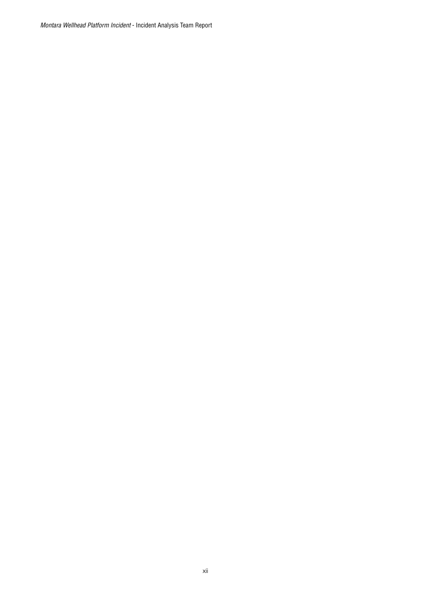*Montara Wellhead Platform Incident* - Incident Analysis Team Report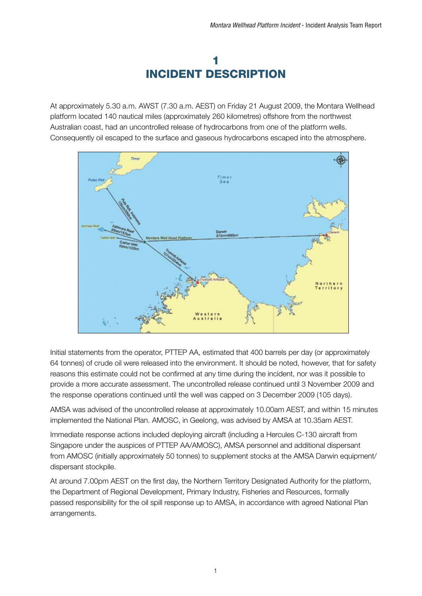# 1 Incident Description

At approximately 5.30 a.m. AWST (7.30 a.m. AEST) on Friday 21 August 2009, the Montara Wellhead platform located 140 nautical miles (approximately 260 kilometres) offshore from the northwest Australian coast, had an uncontrolled release of hydrocarbons from one of the platform wells. Consequently oil escaped to the surface and gaseous hydrocarbons escaped into the atmosphere.



Initial statements from the operator, PTTEP AA, estimated that 400 barrels per day (or approximately 64 tonnes) of crude oil were released into the environment. It should be noted, however, that for safety reasons this estimate could not be confirmed at any time during the incident, nor was it possible to provide a more accurate assessment. The uncontrolled release continued until 3 November 2009 and the response operations continued until the well was capped on 3 December 2009 (105 days).

AMSA was advised of the uncontrolled release at approximately 10.00am AEST, and within 15 minutes implemented the National Plan. AMOSC, in Geelong, was advised by AMSA at 10.35am AEST.

Immediate response actions included deploying aircraft (including a Hercules C-130 aircraft from Singapore under the auspices of PTTEP AA/AMOSC), AMSA personnel and additional dispersant from AMOSC (initially approximately 50 tonnes) to supplement stocks at the AMSA Darwin equipment/ dispersant stockpile.

At around 7.00pm AEST on the first day, the Northern Territory Designated Authority for the platform, the Department of Regional Development, Primary Industry, Fisheries and Resources, formally passed responsibility for the oil spill response up to AMSA, in accordance with agreed National Plan arrangements.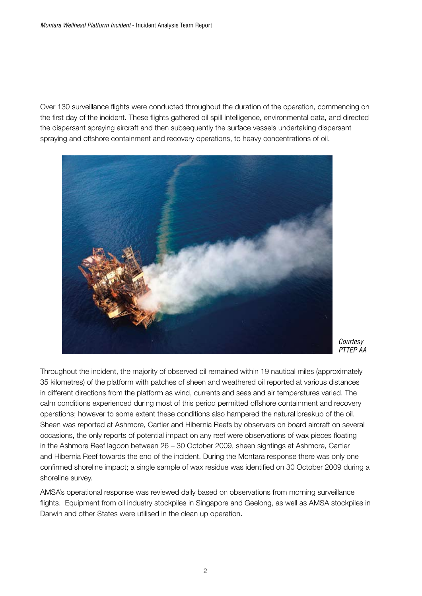Over 130 surveillance flights were conducted throughout the duration of the operation, commencing on the first day of the incident. These flights gathered oil spill intelligence, environmental data, and directed the dispersant spraying aircraft and then subsequently the surface vessels undertaking dispersant spraying and offshore containment and recovery operations, to heavy concentrations of oil.



Throughout the incident, the majority of observed oil remained within 19 nautical miles (approximately 35 kilometres) of the platform with patches of sheen and weathered oil reported at various distances in different directions from the platform as wind, currents and seas and air temperatures varied. The calm conditions experienced during most of this period permitted offshore containment and recovery operations; however to some extent these conditions also hampered the natural breakup of the oil. Sheen was reported at Ashmore, Cartier and Hibernia Reefs by observers on board aircraft on several occasions, the only reports of potential impact on any reef were observations of wax pieces floating in the Ashmore Reef lagoon between 26 – 30 October 2009, sheen sightings at Ashmore, Cartier and Hibernia Reef towards the end of the incident. During the Montara response there was only one confirmed shoreline impact; a single sample of wax residue was identified on 30 October 2009 during a shoreline survey.

AMSA's operational response was reviewed daily based on observations from morning surveillance flights. Equipment from oil industry stockpiles in Singapore and Geelong, as well as AMSA stockpiles in Darwin and other States were utilised in the clean up operation.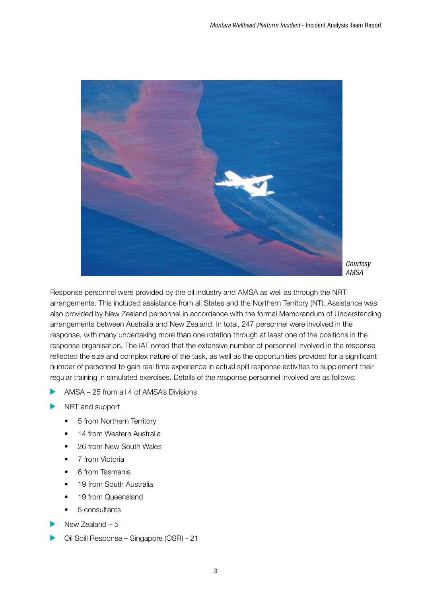

*Courtesy AMSA*

Response personnel were provided by the oil industry and AMSA as well as through the NRT arrangements. This included assistance from all States and the Northern Territory (NT). Assistance was also provided by New Zealand personnel in accordance with the formal Memorandum of Understanding arrangements between Australia and New Zealand. In total, 247 personnel were involved in the response, with many undertaking more than one rotation through at least one of the positions in the response organisation. The IAT noted that the extensive number of personnel involved in the response reflected the size and complex nature of the task, as well as the opportunities provided for a significant number of personnel to gain real time experience in actual spill response activities to supplement their regular training in simulated exercises. Details of the response personnel involved are as follows:

- AMSA 25 from all 4 of AMSA's Divisions
- NRT and support
	- 5 from Northern Territory
	- 14 from Western Australia
	- 26 from New South Wales
	- 7 from Victoria
	- 6 from Tasmania
	- 19 from South Australia
	- 19 from Queensland
	- • 5 consultants
- New Zealand 5
- Oil Spill Response Singapore (OSR) 21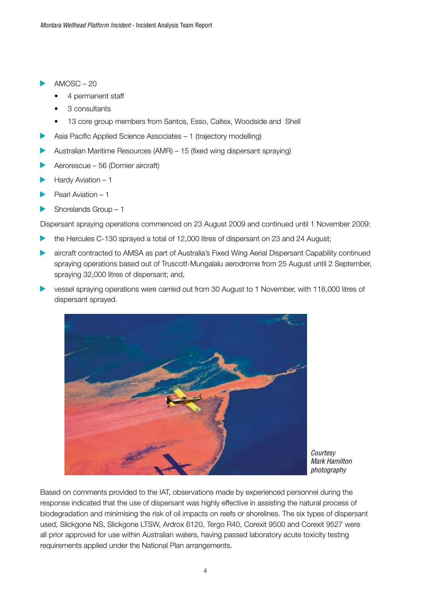- $AMOSC 20$ 
	- 4 permanent staff
	- 3 consultants
	- 13 core group members from Santos, Esso, Caltex, Woodside and Shell
- Asia Pacific Applied Science Associates 1 (trajectory modelling)
- Australian Maritime Resources (AMR) 15 (fixed wing dispersant spraying)
- Aerorescue 56 (Dornier aircraft)
- Hardy Aviation 1 Þ
- Pearl Aviation 1
- Shorelands Group 1 ь

Dispersant spraying operations commenced on 23 August 2009 and continued until 1 November 2009:

- the Hercules C-130 sprayed a total of 12,000 litres of dispersant on 23 and 24 August;  $\blacktriangleright$
- $\blacktriangleright$ aircraft contracted to AMSA as part of Australia's Fixed Wing Aerial Dispersant Capability continued spraying operations based out of Truscott-Mungalalu aerodrome from 25 August until 2 September, spraying 32,000 litres of dispersant; and,
- vessel spraying operations were carried out from 30 August to 1 November, with 118,000 litres of dispersant sprayed.



*Courtesy Mark Hamilton photography*

Based on comments provided to the IAT, observations made by experienced personnel during the response indicated that the use of dispersant was highly effective in assisting the natural process of biodegradation and minimising the risk of oil impacts on reefs or shorelines. The six types of dispersant used, Slickgone NS, Slickgone LTSW, Ardrox 6120, Tergo R40, Corexit 9500 and Corexit 9527 were all prior approved for use within Australian waters, having passed laboratory acute toxicity testing requirements applied under the National Plan arrangements.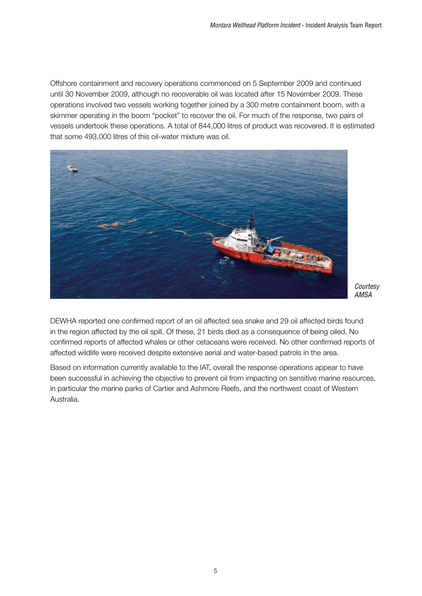Offshore containment and recovery operations commenced on 5 September 2009 and continued until 30 November 2009, although no recoverable oil was located after 15 November 2009. These operations involved two vessels working together joined by a 300 metre containment boom, with a skimmer operating in the boom "pocket" to recover the oil. For much of the response, two pairs of vessels undertook these operations. A total of 844,000 litres of product was recovered. It is estimated that some 493,000 litres of this oil-water mixture was oil.



*Courtesy AMSA*

DEWHA reported one confirmed report of an oil affected sea snake and 29 oil affected birds found in the region affected by the oil spill. Of these, 21 birds died as a consequence of being oiled. No confirmed reports of affected whales or other cetaceans were received. No other confirmed reports of affected wildlife were received despite extensive aerial and water-based patrols in the area.

Based on information currently available to the IAT, overall the response operations appear to have been successful in achieving the objective to prevent oil from impacting on sensitive marine resources, in particular the marine parks of Cartier and Ashmore Reefs, and the northwest coast of Western Australia.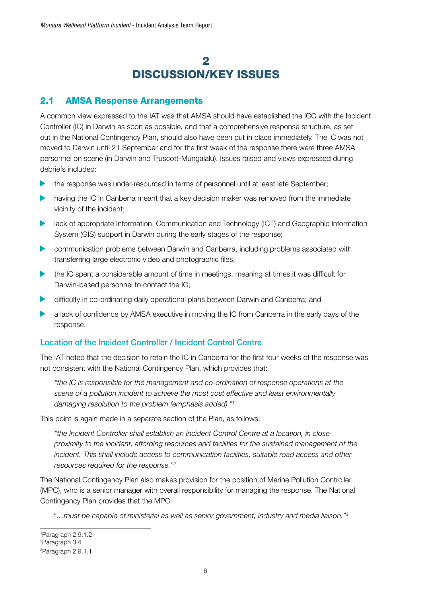# 2 DISCUSSION/KEY ISSUES

# 2.1 AMSA Response Arrangements

A common view expressed to the IAT was that AMSA should have established the ICC with the Incident Controller (IC) in Darwin as soon as possible, and that a comprehensive response structure, as set out in the National Contingency Plan, should also have been put in place immediately. The IC was not moved to Darwin until 21 September and for the first week of the response there were three AMSA personnel on scene (in Darwin and Truscott-Mungalalu). Issues raised and views expressed during debriefs included:

- the response was under-resourced in terms of personnel until at least late September;
- having the IC in Canberra meant that a key decision maker was removed from the immediate vicinity of the incident;
- **Lack of appropriate Information, Communication and Technology (ICT) and Geographic Information** System (GIS) support in Darwin during the early stages of the response;
- communication problems between Darwin and Canberra, including problems associated with transferring large electronic video and photographic files;
- the IC spent a considerable amount of time in meetings, meaning at times it was difficult for Darwin-based personnel to contact the IC;
- difficulty in co-ordinating daily operational plans between Darwin and Canberra; and
- a lack of confidence by AMSA executive in moving the IC from Canberra in the early days of the  $\blacktriangleright$ response.

# Location of the Incident Controller / Incident Control Centre

The IAT noted that the decision to retain the IC in Canberra for the first four weeks of the response was not consistent with the National Contingency Plan, which provides that:

*"the IC is responsible for the management and co-ordination of response operations at the scene of a pollution incident to achieve the most cost effective and least environmentally damaging resolution to the problem (emphasis added)."*<sup>1</sup>

This point is again made in a separate section of the Plan, as follows:

*"the Incident Controller shall establish an Incident Control Centre at a location, in close proximity to the incident, affording resources and facilities for the sustained management of the incident. This shall include access to communication facilities, suitable road access and other resources required for the response."2*

The National Contingency Plan also makes provision for the position of Marine Pollution Controller (MPC), who is a senior manager with overall responsibility for managing the response. The National Contingency Plan provides that the MPC

*"…must be capable of ministerial as well as senior government, industry and media liaison."3*

<sup>1</sup> Paragraph 2.9.1.2 2 Paragraph 3.4

<sup>3</sup> Paragraph 2.9.1.1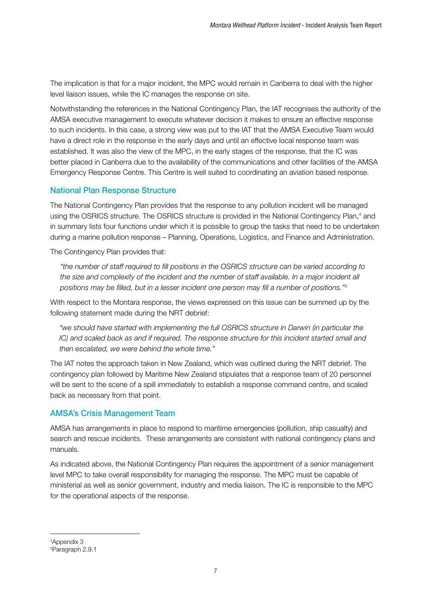The implication is that for a major incident, the MPC would remain in Canberra to deal with the higher level liaison issues, while the IC manages the response on site.

Notwithstanding the references in the National Contingency Plan, the IAT recognises the authority of the AMSA executive management to execute whatever decision it makes to ensure an effective response to such incidents. In this case, a strong view was put to the IAT that the AMSA Executive Team would have a direct role in the response in the early days and until an effective local response team was established. It was also the view of the MPC, in the early stages of the response, that the IC was better placed in Canberra due to the availability of the communications and other facilities of the AMSA Emergency Response Centre. This Centre is well suited to coordinating an aviation based response.

## National Plan Response Structure

The National Contingency Plan provides that the response to any pollution incident will be managed using the OSRICS structure. The OSRICS structure is provided in the National Contingency Plan,<sup>4</sup> and in summary lists four functions under which it is possible to group the tasks that need to be undertaken during a marine pollution response – Planning, Operations, Logistics, and Finance and Administration.

The Contingency Plan provides that:

*"the number of staff required to fill positions in the OSRICS structure can be varied according to the size and complexity of the incident and the number of staff available. In a major incident all positions may be filled, but in a lesser incident one person may fill a number of positions."5*

With respect to the Montara response, the views expressed on this issue can be summed up by the following statement made during the NRT debrief:

*"we should have started with implementing the full OSRICS structure in Darwin (in particular the IC)* and scaled back as and if required. The response structure for this incident started small and *then escalated, we were behind the whole time."*

The IAT notes the approach taken in New Zealand, which was outlined during the NRT debrief. The contingency plan followed by Maritime New Zealand stipulates that a response team of 20 personnel will be sent to the scene of a spill immediately to establish a response command centre, and scaled back as necessary from that point.

## AMSA's Crisis Management Team

AMSA has arrangements in place to respond to maritime emergencies (pollution, ship casualty) and search and rescue incidents. These arrangements are consistent with national contingency plans and manuals.

As indicated above, the National Contingency Plan requires the appointment of a senior management level MPC to take overall responsibility for managing the response. The MPC must be capable of ministerial as well as senior government, industry and media liaison. The IC is responsible to the MPC for the operational aspects of the response.

<sup>4</sup> Appendix 3

<sup>5</sup> Paragraph 2.9.1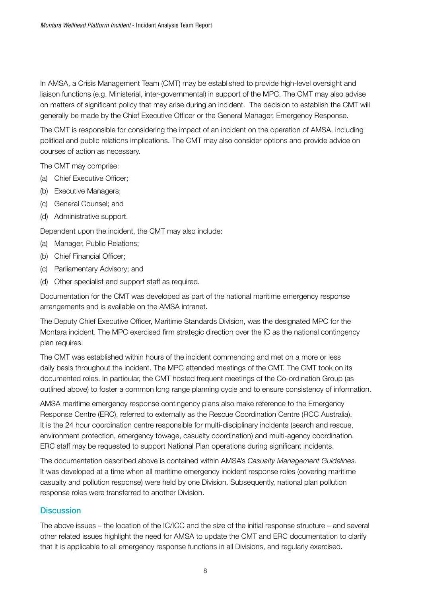In AMSA, a Crisis Management Team (CMT) may be established to provide high-level oversight and liaison functions (e.g. Ministerial, inter-governmental) in support of the MPC. The CMT may also advise on matters of significant policy that may arise during an incident. The decision to establish the CMT will generally be made by the Chief Executive Officer or the General Manager, Emergency Response.

The CMT is responsible for considering the impact of an incident on the operation of AMSA, including political and public relations implications. The CMT may also consider options and provide advice on courses of action as necessary.

The CMT may comprise:

- (a) Chief Executive Officer;
- (b) Executive Managers;
- (c) General Counsel; and
- (d) Administrative support.

Dependent upon the incident, the CMT may also include:

- (a) Manager, Public Relations;
- (b) Chief Financial Officer;
- (c) Parliamentary Advisory; and
- (d) Other specialist and support staff as required.

Documentation for the CMT was developed as part of the national maritime emergency response arrangements and is available on the AMSA intranet.

The Deputy Chief Executive Officer, Maritime Standards Division, was the designated MPC for the Montara incident. The MPC exercised firm strategic direction over the IC as the national contingency plan requires.

The CMT was established within hours of the incident commencing and met on a more or less daily basis throughout the incident. The MPC attended meetings of the CMT. The CMT took on its documented roles. In particular, the CMT hosted frequent meetings of the Co-ordination Group (as outlined above) to foster a common long range planning cycle and to ensure consistency of information.

AMSA maritime emergency response contingency plans also make reference to the Emergency Response Centre (ERC), referred to externally as the Rescue Coordination Centre (RCC Australia). It is the 24 hour coordination centre responsible for multi-disciplinary incidents (search and rescue, environment protection, emergency towage, casualty coordination) and multi-agency coordination. ERC staff may be requested to support National Plan operations during significant incidents.

The documentation described above is contained within AMSA's *Casualty Management Guidelines*. It was developed at a time when all maritime emergency incident response roles (covering maritime casualty and pollution response) were held by one Division. Subsequently, national plan pollution response roles were transferred to another Division.

## **Discussion**

The above issues – the location of the IC/ICC and the size of the initial response structure – and several other related issues highlight the need for AMSA to update the CMT and ERC documentation to clarify that it is applicable to all emergency response functions in all Divisions, and regularly exercised.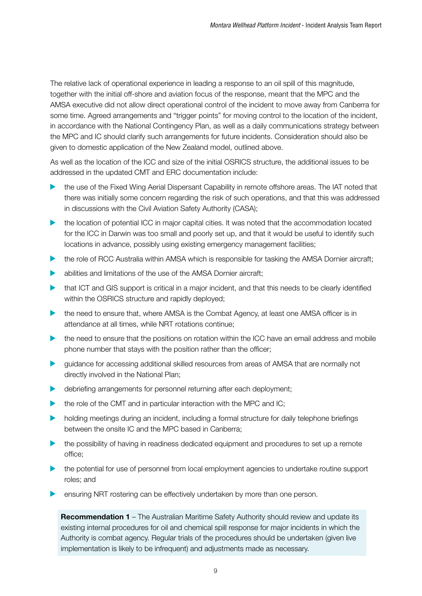The relative lack of operational experience in leading a response to an oil spill of this magnitude, together with the initial off-shore and aviation focus of the response, meant that the MPC and the AMSA executive did not allow direct operational control of the incident to move away from Canberra for some time. Agreed arrangements and "trigger points" for moving control to the location of the incident, in accordance with the National Contingency Plan, as well as a daily communications strategy between the MPC and IC should clarify such arrangements for future incidents. Consideration should also be given to domestic application of the New Zealand model, outlined above.

As well as the location of the ICC and size of the initial OSRICS structure, the additional issues to be addressed in the updated CMT and ERC documentation include:

- the use of the Fixed Wing Aerial Dispersant Capability in remote offshore areas. The IAT noted that there was initially some concern regarding the risk of such operations, and that this was addressed in discussions with the Civil Aviation Safety Authority (CASA);
- the location of potential ICC in major capital cities. It was noted that the accommodation located for the ICC in Darwin was too small and poorly set up, and that it would be useful to identify such locations in advance, possibly using existing emergency management facilities;
- the role of RCC Australia within AMSA which is responsible for tasking the AMSA Dornier aircraft;
- **abilities and limitations of the use of the AMSA Dornier aircraft:**
- that ICT and GIS support is critical in a major incident, and that this needs to be clearly identified within the OSRICS structure and rapidly deployed;
- the need to ensure that, where AMSA is the Combat Agency, at least one AMSA officer is in attendance at all times, while NRT rotations continue;
- the need to ensure that the positions on rotation within the ICC have an email address and mobile phone number that stays with the position rather than the officer;
- guidance for accessing additional skilled resources from areas of AMSA that are normally not directly involved in the National Plan;
- debriefing arrangements for personnel returning after each deployment;
- $\blacktriangleright$  the role of the CMT and in particular interaction with the MPC and IC;
- holding meetings during an incident, including a formal structure for daily telephone briefings between the onsite IC and the MPC based in Canberra;
- the possibility of having in readiness dedicated equipment and procedures to set up a remote office;
- the potential for use of personnel from local employment agencies to undertake routine support roles; and
- ensuring NRT rostering can be effectively undertaken by more than one person.

**Recommendation 1** – The Australian Maritime Safety Authority should review and update its existing internal procedures for oil and chemical spill response for major incidents in which the Authority is combat agency. Regular trials of the procedures should be undertaken (given live implementation is likely to be infrequent) and adjustments made as necessary.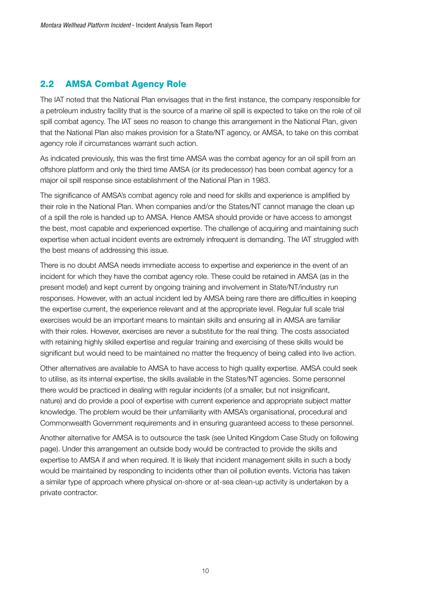# 2.2 AMSA Combat Agency Role

The IAT noted that the National Plan envisages that in the first instance, the company responsible for a petroleum industry facility that is the source of a marine oil spill is expected to take on the role of oil spill combat agency. The IAT sees no reason to change this arrangement in the National Plan, given that the National Plan also makes provision for a State/NT agency, or AMSA, to take on this combat agency role if circumstances warrant such action.

As indicated previously, this was the first time AMSA was the combat agency for an oil spill from an offshore platform and only the third time AMSA (or its predecessor) has been combat agency for a major oil spill response since establishment of the National Plan in 1983.

The significance of AMSA's combat agency role and need for skills and experience is amplified by their role in the National Plan. When companies and/or the States/NT cannot manage the clean up of a spill the role is handed up to AMSA. Hence AMSA should provide or have access to amongst the best, most capable and experienced expertise. The challenge of acquiring and maintaining such expertise when actual incident events are extremely infrequent is demanding. The IAT struggled with the best means of addressing this issue.

There is no doubt AMSA needs immediate access to expertise and experience in the event of an incident for which they have the combat agency role. These could be retained in AMSA (as in the present model) and kept current by ongoing training and involvement in State/NT/industry run responses. However, with an actual incident led by AMSA being rare there are difficulties in keeping the expertise current, the experience relevant and at the appropriate level. Regular full scale trial exercises would be an important means to maintain skills and ensuring all in AMSA are familiar with their roles. However, exercises are never a substitute for the real thing. The costs associated with retaining highly skilled expertise and regular training and exercising of these skills would be significant but would need to be maintained no matter the frequency of being called into live action.

Other alternatives are available to AMSA to have access to high quality expertise. AMSA could seek to utilise, as its internal expertise, the skills available in the States/NT agencies. Some personnel there would be practiced in dealing with regular incidents (of a smaller, but not insignificant, nature) and do provide a pool of expertise with current experience and appropriate subject matter knowledge. The problem would be their unfamiliarity with AMSA's organisational, procedural and Commonwealth Government requirements and in ensuring guaranteed access to these personnel.

Another alternative for AMSA is to outsource the task (see United Kingdom Case Study on following page). Under this arrangement an outside body would be contracted to provide the skills and expertise to AMSA if and when required. It is likely that incident management skills in such a body would be maintained by responding to incidents other than oil pollution events. Victoria has taken a similar type of approach where physical on-shore or at-sea clean-up activity is undertaken by a private contractor.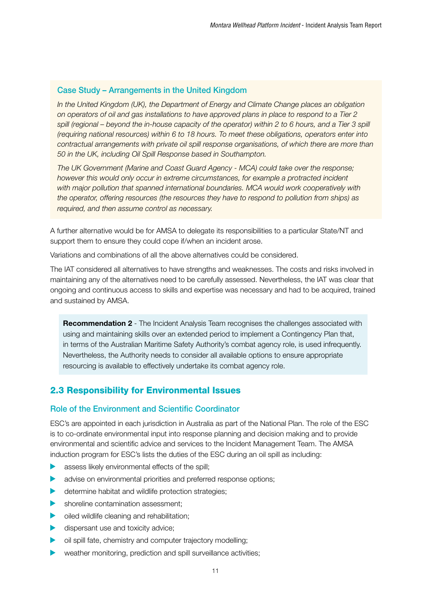#### Case Study – Arrangements in the United Kingdom

*In the United Kingdom (UK), the Department of Energy and Climate Change places an obligation on operators of oil and gas installations to have approved plans in place to respond to a Tier 2*  spill (regional – beyond the in-house capacity of the operator) within 2 to 6 hours, and a Tier 3 spill *(requiring national resources) within 6 to 18 hours. To meet these obligations, operators enter into contractual arrangements with private oil spill response organisations, of which there are more than 50 in the UK, including Oil Spill Response based in Southampton.*

*The UK Government (Marine and Coast Guard Agency - MCA) could take over the response; however this would only occur in extreme circumstances, for example a protracted incident with major pollution that spanned international boundaries. MCA would work cooperatively with the operator, offering resources (the resources they have to respond to pollution from ships) as required, and then assume control as necessary.* 

A further alternative would be for AMSA to delegate its responsibilities to a particular State/NT and support them to ensure they could cope if/when an incident arose.

Variations and combinations of all the above alternatives could be considered.

The IAT considered all alternatives to have strengths and weaknesses. The costs and risks involved in maintaining any of the alternatives need to be carefully assessed. Nevertheless, the IAT was clear that ongoing and continuous access to skills and expertise was necessary and had to be acquired, trained and sustained by AMSA.

**Recommendation 2** - The Incident Analysis Team recognises the challenges associated with using and maintaining skills over an extended period to implement a Contingency Plan that, in terms of the Australian Maritime Safety Authority's combat agency role, is used infrequently. Nevertheless, the Authority needs to consider all available options to ensure appropriate resourcing is available to effectively undertake its combat agency role.

## 2.3 Responsibility for Environmental Issues

#### Role of the Environment and Scientific Coordinator

ESC's are appointed in each jurisdiction in Australia as part of the National Plan. The role of the ESC is to co-ordinate environmental input into response planning and decision making and to provide environmental and scientific advice and services to the Incident Management Team. The AMSA induction program for ESC's lists the duties of the ESC during an oil spill as including:

- ▶ assess likely environmental effects of the spill;
- advise on environmental priorities and preferred response options;
- $\blacktriangleright$ determine habitat and wildlife protection strategies;
- shoreline contamination assessment;  $\blacktriangleright$
- $\blacktriangleright$ oiled wildlife cleaning and rehabilitation;
- dispersant use and toxicity advice;
- oil spill fate, chemistry and computer trajectory modelling;
- weather monitoring, prediction and spill surveillance activities;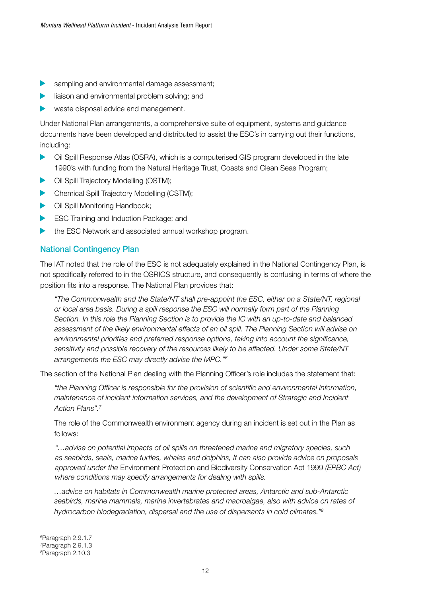- sampling and environmental damage assessment;
- **Izmust and environmental problem solving; and**
- waste disposal advice and management.

Under National Plan arrangements, a comprehensive suite of equipment, systems and guidance documents have been developed and distributed to assist the ESC's in carrying out their functions, including:

- $\blacktriangleright$ Oil Spill Response Atlas (OSRA), which is a computerised GIS program developed in the late 1990's with funding from the Natural Heritage Trust, Coasts and Clean Seas Program;
- **Dil Spill Trajectory Modelling (OSTM);**
- **Chemical Spill Trajectory Modelling (CSTM);**
- **Dil Spill Monitoring Handbook;**
- ESC Training and Induction Package; and
- the ESC Network and associated annual workshop program.

### National Contingency Plan

The IAT noted that the role of the ESC is not adequately explained in the National Contingency Plan, is not specifically referred to in the OSRICS structure, and consequently is confusing in terms of where the position fits into a response. The National Plan provides that:

*"The Commonwealth and the State/NT shall pre-appoint the ESC, either on a State/NT, regional or local area basis. During a spill response the ESC will normally form part of the Planning Section. In this role the Planning Section is to provide the IC with an up-to-date and balanced assessment of the likely environmental effects of an oil spill. The Planning Section will advise on environmental priorities and preferred response options, taking into account the significance, sensitivity and possible recovery of the resources likely to be affected. Under some State/NT arrangements the ESC may directly advise the MPC."6*

The section of the National Plan dealing with the Planning Officer's role includes the statement that:

*"the Planning Officer is responsible for the provision of scientific and environmental information, maintenance of incident information services, and the development of Strategic and Incident Action Plans".7*

The role of the Commonwealth environment agency during an incident is set out in the Plan as follows:

*"…advise on potential impacts of oil spills on threatened marine and migratory species, such as seabirds, seals, marine turtles, whales and dolphins, It can also provide advice on proposals approved under the* Environment Protection and Biodiversity Conservation Act 1999 *(EPBC Act) where conditions may specify arrangements for dealing with spills.*

*…advice on habitats in Commonwealth marine protected areas, Antarctic and sub-Antarctic seabirds, marine mammals, marine invertebrates and macroalgae, also with advice on rates of hydrocarbon biodegradation, dispersal and the use of dispersants in cold climates."8*

<sup>6</sup> Paragraph 2.9.1.7

<sup>7</sup> Paragraph 2.9.1.3

<sup>8</sup> Paragraph 2.10.3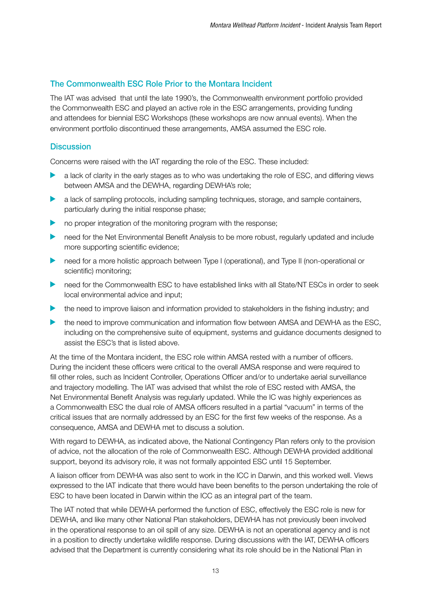## The Commonwealth ESC Role Prior to the Montara Incident

The IAT was advised that until the late 1990's, the Commonwealth environment portfolio provided the Commonwealth ESC and played an active role in the ESC arrangements, providing funding and attendees for biennial ESC Workshops (these workshops are now annual events). When the environment portfolio discontinued these arrangements, AMSA assumed the ESC role.

#### **Discussion**

Concerns were raised with the IAT regarding the role of the ESC. These included:

- a lack of clarity in the early stages as to who was undertaking the role of ESC, and differing views between AMSA and the DEWHA, regarding DEWHA's role;
- a lack of sampling protocols, including sampling techniques, storage, and sample containers, particularly during the initial response phase;
- **the right** no proper integration of the monitoring program with the response;
- **D** need for the Net Environmental Benefit Analysis to be more robust, regularly updated and include more supporting scientific evidence;
- **•** need for a more holistic approach between Type I (operational), and Type II (non-operational or scientific) monitoring;
- need for the Commonwealth ESC to have established links with all State/NT ESCs in order to seek local environmental advice and input;
- the need to improve liaison and information provided to stakeholders in the fishing industry; and
- the need to improve communication and information flow between AMSA and DEWHA as the ESC, including on the comprehensive suite of equipment, systems and guidance documents designed to assist the ESC's that is listed above.

At the time of the Montara incident, the ESC role within AMSA rested with a number of officers. During the incident these officers were critical to the overall AMSA response and were required to fill other roles, such as Incident Controller, Operations Officer and/or to undertake aerial surveillance and trajectory modelling. The IAT was advised that whilst the role of ESC rested with AMSA, the Net Environmental Benefit Analysis was regularly updated. While the IC was highly experiences as a Commonwealth ESC the dual role of AMSA officers resulted in a partial "vacuum" in terms of the critical issues that are normally addressed by an ESC for the first few weeks of the response. As a consequence, AMSA and DEWHA met to discuss a solution.

With regard to DEWHA, as indicated above, the National Contingency Plan refers only to the provision of advice, not the allocation of the role of Commonwealth ESC. Although DEWHA provided additional support, beyond its advisory role, it was not formally appointed ESC until 15 September.

A liaison officer from DEWHA was also sent to work in the ICC in Darwin, and this worked well. Views expressed to the IAT indicate that there would have been benefits to the person undertaking the role of ESC to have been located in Darwin within the ICC as an integral part of the team.

The IAT noted that while DEWHA performed the function of ESC, effectively the ESC role is new for DEWHA, and like many other National Plan stakeholders, DEWHA has not previously been involved in the operational response to an oil spill of any size. DEWHA is not an operational agency and is not in a position to directly undertake wildlife response. During discussions with the IAT, DEWHA officers advised that the Department is currently considering what its role should be in the National Plan in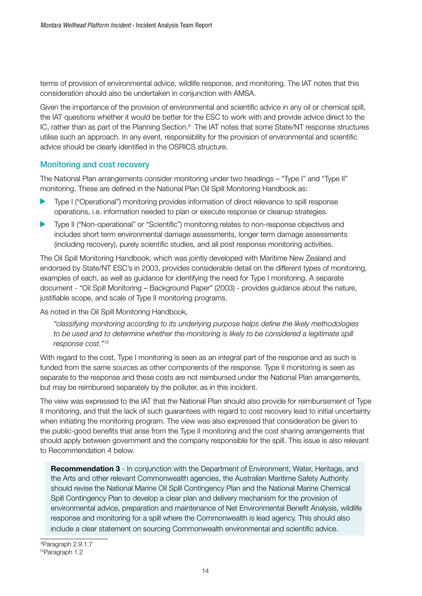terms of provision of environmental advice, wildlife response, and monitoring. The IAT notes that this consideration should also be undertaken in conjunction with AMSA.

Given the importance of the provision of environmental and scientific advice in any oil or chemical spill, the IAT questions whether it would be better for the ESC to work with and provide advice direct to the IC, rather than as part of the Planning Section.<sup>9</sup> The IAT notes that some State/NT response structures utilise such an approach. In any event, responsibility for the provision of environmental and scientific advice should be clearly identified in the OSRICS structure.

## Monitoring and cost recovery

The National Plan arrangements consider monitoring under two headings – "Type I" and "Type II" monitoring. These are defined in the National Plan Oil Spill Monitoring Handbook as:

- Type I ("Operational") monitoring provides information of direct relevance to spill response operations, i.e. information needed to plan or execute response or cleanup strategies.
- **Type II** ("Non-operational" or "Scientific") monitoring relates to non-response objectives and includes short term environmental damage assessments, longer term damage assessments (including recovery), purely scientific studies, and all post response monitoring activities.

The Oil Spill Monitoring Handbook, which was jointly developed with Maritime New Zealand and endorsed by State/NT ESC's in 2003, provides considerable detail on the different types of monitoring, examples of each, as well as guidance for identifying the need for Type I monitoring. A separate document - "Oil Spill Monitoring – Background Paper" (2003) - provides guidance about the nature, justifiable scope, and scale of Type II monitoring programs.

As noted in the Oil Spill Monitoring Handbook,

*"classifying monitoring according to its underlying purpose helps define the likely methodologies*  to be used and to determine whether the monitoring is likely to be considered a legitimate spill *response cost."10*

With regard to the cost, Type I monitoring is seen as an integral part of the response and as such is funded from the same sources as other components of the response. Type II monitoring is seen as separate to the response and these costs are not reimbursed under the National Plan arrangements, but may be reimbursed separately by the polluter, as in this incident.

The view was expressed to the IAT that the National Plan should also provide for reimbursement of Type II monitoring, and that the lack of such guarantees with regard to cost recovery lead to initial uncertainty when initiating the monitoring program. The view was also expressed that consideration be given to the public-good benefits that arise from the Type II monitoring and the cost sharing arrangements that should apply between government and the company responsible for the spill. This issue is also relevant to Recommendation 4 below.

**Recommendation 3** - In conjunction with the Department of Environment, Water, Heritage, and the Arts and other relevant Commonwealth agencies, the Australian Maritime Safety Authority should revise the National Marine Oil Spill Contingency Plan and the National Marine Chemical Spill Contingency Plan to develop a clear plan and delivery mechanism for the provision of environmental advice, preparation and maintenance of Net Environmental Benefit Analysis, wildlife response and monitoring for a spill where the Commonwealth is lead agency. This should also include a clear statement on sourcing Commonwealth environmental and scientific advice.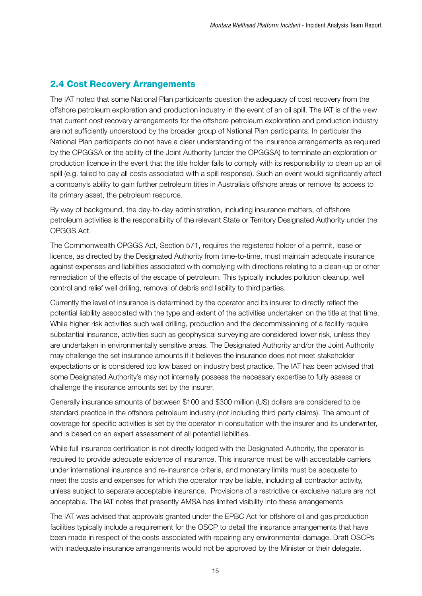# 2.4 Cost Recovery Arrangements

The IAT noted that some National Plan participants question the adequacy of cost recovery from the offshore petroleum exploration and production industry in the event of an oil spill. The IAT is of the view that current cost recovery arrangements for the offshore petroleum exploration and production industry are not sufficiently understood by the broader group of National Plan participants. In particular the National Plan participants do not have a clear understanding of the insurance arrangements as required by the OPGGSA or the ability of the Joint Authority (under the OPGGSA) to terminate an exploration or production licence in the event that the title holder fails to comply with its responsibility to clean up an oil spill (e.g. failed to pay all costs associated with a spill response). Such an event would significantly affect a company's ability to gain further petroleum titles in Australia's offshore areas or remove its access to its primary asset, the petroleum resource.

By way of background, the day-to-day administration, including insurance matters, of offshore petroleum activities is the responsibility of the relevant State or Territory Designated Authority under the OPGGS Act.

The Commonwealth OPGGS Act, Section 571, requires the registered holder of a permit, lease or licence, as directed by the Designated Authority from time-to-time, must maintain adequate insurance against expenses and liabilities associated with complying with directions relating to a clean-up or other remediation of the effects of the escape of petroleum. This typically includes pollution cleanup, well control and relief well drilling, removal of debris and liability to third parties.

Currently the level of insurance is determined by the operator and its insurer to directly reflect the potential liability associated with the type and extent of the activities undertaken on the title at that time. While higher risk activities such well drilling, production and the decommissioning of a facility require substantial insurance, activities such as geophysical surveying are considered lower risk, unless they are undertaken in environmentally sensitive areas. The Designated Authority and/or the Joint Authority may challenge the set insurance amounts if it believes the insurance does not meet stakeholder expectations or is considered too low based on industry best practice. The IAT has been advised that some Designated Authority's may not internally possess the necessary expertise to fully assess or challenge the insurance amounts set by the insurer.

Generally insurance amounts of between \$100 and \$300 million (US) dollars are considered to be standard practice in the offshore petroleum industry (not including third party claims). The amount of coverage for specific activities is set by the operator in consultation with the insurer and its underwriter, and is based on an expert assessment of all potential liabilities.

While full insurance certification is not directly lodged with the Designated Authority, the operator is required to provide adequate evidence of insurance. This insurance must be with acceptable carriers under international insurance and re-insurance criteria, and monetary limits must be adequate to meet the costs and expenses for which the operator may be liable, including all contractor activity, unless subject to separate acceptable insurance. Provisions of a restrictive or exclusive nature are not acceptable. The IAT notes that presently AMSA has limited visibility into these arrangements

The IAT was advised that approvals granted under the EPBC Act for offshore oil and gas production facilities typically include a requirement for the OSCP to detail the insurance arrangements that have been made in respect of the costs associated with repairing any environmental damage. Draft OSCPs with inadequate insurance arrangements would not be approved by the Minister or their delegate.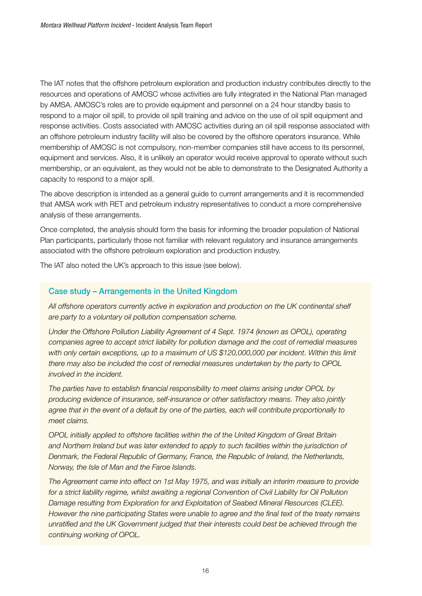The IAT notes that the offshore petroleum exploration and production industry contributes directly to the resources and operations of AMOSC whose activities are fully integrated in the National Plan managed by AMSA. AMOSC's roles are to provide equipment and personnel on a 24 hour standby basis to respond to a major oil spill, to provide oil spill training and advice on the use of oil spill equipment and response activities. Costs associated with AMOSC activities during an oil spill response associated with an offshore petroleum industry facility will also be covered by the offshore operators insurance. While membership of AMOSC is not compulsory, non-member companies still have access to its personnel, equipment and services. Also, it is unlikely an operator would receive approval to operate without such membership, or an equivalent, as they would not be able to demonstrate to the Designated Authority a capacity to respond to a major spill.

The above description is intended as a general guide to current arrangements and it is recommended that AMSA work with RET and petroleum industry representatives to conduct a more comprehensive analysis of these arrangements.

Once completed, the analysis should form the basis for informing the broader population of National Plan participants, particularly those not familiar with relevant regulatory and insurance arrangements associated with the offshore petroleum exploration and production industry.

The IAT also noted the UK's approach to this issue (see below).

## Case study – Arrangements in the United Kingdom

*All offshore operators currently active in exploration and production on the UK continental shelf are party to a voluntary oil pollution compensation scheme.*

*Under the Offshore Pollution Liability Agreement of 4 Sept. 1974 (known as OPOL), operating companies agree to accept strict liability for pollution damage and the cost of remedial measures with only certain exceptions, up to a maximum of US \$120,000,000 per incident. Within this limit there may also be included the cost of remedial measures undertaken by the party to OPOL involved in the incident.*

*The parties have to establish financial responsibility to meet claims arising under OPOL by producing evidence of insurance, self-insurance or other satisfactory means. They also jointly agree that in the event of a default by one of the parties, each will contribute proportionally to meet claims.*

*OPOL initially applied to offshore facilities within the of the United Kingdom of Great Britain and Northern Ireland but was later extended to apply to such facilities within the jurisdiction of Denmark, the Federal Republic of Germany, France, the Republic of Ireland, the Netherlands, Norway, the Isle of Man and the Faroe Islands.*

*The Agreement came into effect on 1st May 1975, and was initially an interim measure to provide for a strict liability regime, whilst awaiting a regional Convention of Civil Liability for Oil Pollution Damage resulting from Exploration for and Exploitation of Seabed Mineral Resources (CLEE). However the nine participating States were unable to agree and the final text of the treaty remains unratified and the UK Government judged that their interests could best be achieved through the continuing working of OPOL.*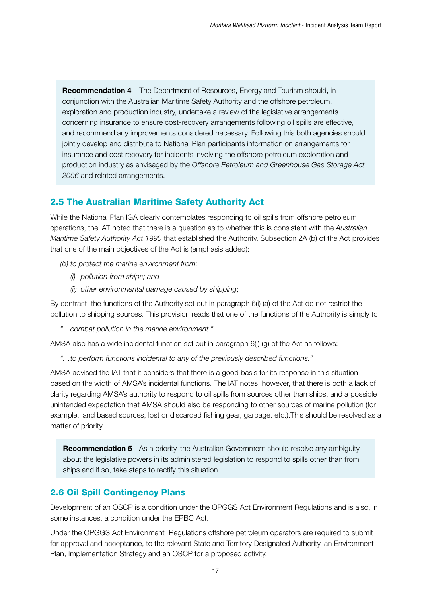**Recommendation 4** – The Department of Resources, Energy and Tourism should, in conjunction with the Australian Maritime Safety Authority and the offshore petroleum, exploration and production industry, undertake a review of the legislative arrangements concerning insurance to ensure cost-recovery arrangements following oil spills are effective, and recommend any improvements considered necessary. Following this both agencies should jointly develop and distribute to National Plan participants information on arrangements for insurance and cost recovery for incidents involving the offshore petroleum exploration and production industry as envisaged by the *Offshore Petroleum and Greenhouse Gas Storage Act 2006* and related arrangements.

## 2.5 The Australian Maritime Safety Authority Act

While the National Plan IGA clearly contemplates responding to oil spills from offshore petroleum operations, the IAT noted that there is a question as to whether this is consistent with the *Australian Maritime Safety Authority Act 1990* that established the Authority. Subsection 2A (b) of the Act provides that one of the main objectives of the Act is (emphasis added):

- *(b) to protect the marine environment from:*
	- *(i) pollution from ships; and*
	- *(ii) other environmental damage caused by shipping*;

By contrast, the functions of the Authority set out in paragraph 6(i) (a) of the Act do not restrict the pollution to shipping sources. This provision reads that one of the functions of the Authority is simply to

*"…combat pollution in the marine environment."* 

AMSA also has a wide incidental function set out in paragraph 6(i) (g) of the Act as follows:

*"…to perform functions incidental to any of the previously described functions."*

AMSA advised the IAT that it considers that there is a good basis for its response in this situation based on the width of AMSA's incidental functions. The IAT notes, however, that there is both a lack of clarity regarding AMSA's authority to respond to oil spills from sources other than ships, and a possible unintended expectation that AMSA should also be responding to other sources of marine pollution (for example, land based sources, lost or discarded fishing gear, garbage, etc.).This should be resolved as a matter of priority.

**Recommendation 5** - As a priority, the Australian Government should resolve any ambiguity about the legislative powers in its administered legislation to respond to spills other than from ships and if so, take steps to rectify this situation.

## 2.6 Oil Spill Contingency Plans

Development of an OSCP is a condition under the OPGGS Act Environment Regulations and is also, in some instances, a condition under the EPBC Act.

Under the OPGGS Act Environment Regulations offshore petroleum operators are required to submit for approval and acceptance, to the relevant State and Territory Designated Authority, an Environment Plan, Implementation Strategy and an OSCP for a proposed activity.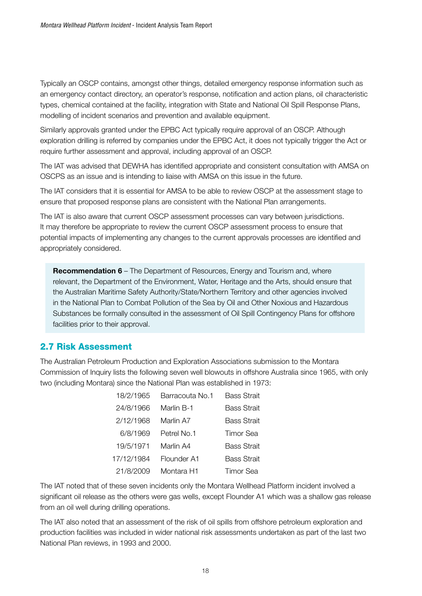Typically an OSCP contains, amongst other things, detailed emergency response information such as an emergency contact directory, an operator's response, notification and action plans, oil characteristic types, chemical contained at the facility, integration with State and National Oil Spill Response Plans, modelling of incident scenarios and prevention and available equipment.

Similarly approvals granted under the EPBC Act typically require approval of an OSCP. Although exploration drilling is referred by companies under the EPBC Act, it does not typically trigger the Act or require further assessment and approval, including approval of an OSCP.

The IAT was advised that DEWHA has identified appropriate and consistent consultation with AMSA on OSCPS as an issue and is intending to liaise with AMSA on this issue in the future.

The IAT considers that it is essential for AMSA to be able to review OSCP at the assessment stage to ensure that proposed response plans are consistent with the National Plan arrangements.

The IAT is also aware that current OSCP assessment processes can vary between jurisdictions. It may therefore be appropriate to review the current OSCP assessment process to ensure that potential impacts of implementing any changes to the current approvals processes are identified and appropriately considered.

**Recommendation 6** – The Department of Resources, Energy and Tourism and, where relevant, the Department of the Environment, Water, Heritage and the Arts, should ensure that the Australian Maritime Safety Authority/State/Northern Territory and other agencies involved in the National Plan to Combat Pollution of the Sea by Oil and Other Noxious and Hazardous Substances be formally consulted in the assessment of Oil Spill Contingency Plans for offshore facilities prior to their approval.

## 2.7 Risk Assessment

The Australian Petroleum Production and Exploration Associations submission to the Montara Commission of Inquiry lists the following seven well blowouts in offshore Australia since 1965, with only two (including Montara) since the National Plan was established in 1973:

| 18/2/1965  | Barracouta No.1 | <b>Bass Strait</b> |
|------------|-----------------|--------------------|
| 24/8/1966  | Marlin B-1      | Bass Strait        |
| 2/12/1968  | Marlin A7       | <b>Bass Strait</b> |
| 6/8/1969   | Petrel No.1     | Timor Sea          |
| 19/5/1971  | Marlin A4       | Bass Strait        |
| 17/12/1984 | Flounder A1     | <b>Bass Strait</b> |
| 21/8/2009  | Montara H1      | Timor Sea          |

The IAT noted that of these seven incidents only the Montara Wellhead Platform incident involved a significant oil release as the others were gas wells, except Flounder A1 which was a shallow gas release from an oil well during drilling operations.

The IAT also noted that an assessment of the risk of oil spills from offshore petroleum exploration and production facilities was included in wider national risk assessments undertaken as part of the last two National Plan reviews, in 1993 and 2000.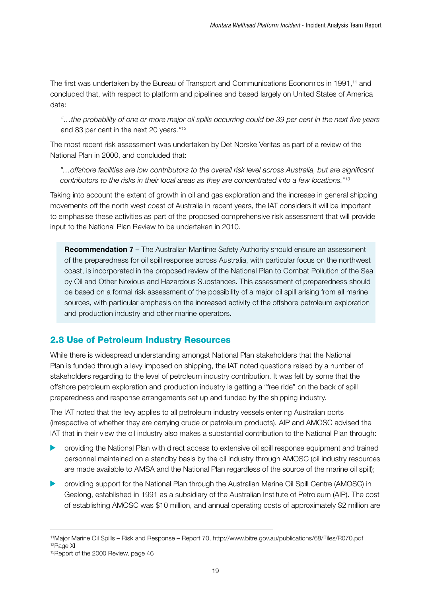The first was undertaken by the Bureau of Transport and Communications Economics in 1991.<sup>11</sup> and concluded that, with respect to platform and pipelines and based largely on United States of America data:

*"…the probability of one or more major oil spills occurring could be 39 per cent in the next five years*  and 83 per cent in the next 20 year*s."12*

The most recent risk assessment was undertaken by Det Norske Veritas as part of a review of the National Plan in 2000, and concluded that:

*"…offshore facilities are low contributors to the overall risk level across Australia, but are significant contributors to the risks in their local areas as they are concentrated into a few locations."13*

Taking into account the extent of growth in oil and gas exploration and the increase in general shipping movements off the north west coast of Australia in recent years, the IAT considers it will be important to emphasise these activities as part of the proposed comprehensive risk assessment that will provide input to the National Plan Review to be undertaken in 2010.

**Recommendation 7** – The Australian Maritime Safety Authority should ensure an assessment of the preparedness for oil spill response across Australia, with particular focus on the northwest coast, is incorporated in the proposed review of the National Plan to Combat Pollution of the Sea by Oil and Other Noxious and Hazardous Substances. This assessment of preparedness should be based on a formal risk assessment of the possibility of a major oil spill arising from all marine sources, with particular emphasis on the increased activity of the offshore petroleum exploration and production industry and other marine operators.

# 2.8 Use of Petroleum Industry Resources

While there is widespread understanding amongst National Plan stakeholders that the National Plan is funded through a levy imposed on shipping, the IAT noted questions raised by a number of stakeholders regarding to the level of petroleum industry contribution. It was felt by some that the offshore petroleum exploration and production industry is getting a "free ride" on the back of spill preparedness and response arrangements set up and funded by the shipping industry.

The IAT noted that the levy applies to all petroleum industry vessels entering Australian ports (irrespective of whether they are carrying crude or petroleum products). AIP and AMOSC advised the IAT that in their view the oil industry also makes a substantial contribution to the National Plan through:

- providing the National Plan with direct access to extensive oil spill response equipment and trained personnel maintained on a standby basis by the oil industry through AMOSC (oil industry resources are made available to AMSA and the National Plan regardless of the source of the marine oil spill);
- providing support for the National Plan through the Australian Marine Oil Spill Centre (AMOSC) in Geelong, established in 1991 as a subsidiary of the Australian Institute of Petroleum (AIP). The cost of establishing AMOSC was \$10 million, and annual operating costs of approximately \$2 million are

<sup>11</sup>Major Marine Oil Spills – Risk and Response – Report 70, http://www.bitre.gov.au/publications/68/Files/R070.pdf 12Page XI

<sup>13</sup>Report of the 2000 Review, page 46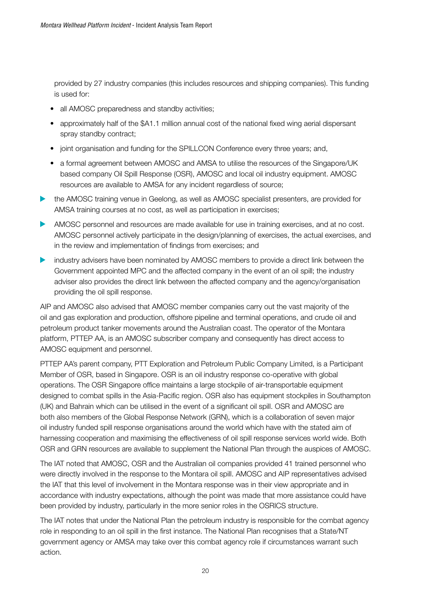provided by 27 industry companies (this includes resources and shipping companies). This funding is used for:

- all AMOSC preparedness and standby activities;
- approximately half of the \$A1.1 million annual cost of the national fixed wing aerial dispersant spray standby contract;
- joint organisation and funding for the SPILLCON Conference every three years; and,
- a formal agreement between AMOSC and AMSA to utilise the resources of the Singapore/UK based company Oil Spill Response (OSR), AMOSC and local oil industry equipment. AMOSC resources are available to AMSA for any incident regardless of source;
- the AMOSC training venue in Geelong, as well as AMOSC specialist presenters, are provided for AMSA training courses at no cost, as well as participation in exercises;
- AMOSC personnel and resources are made available for use in training exercises, and at no cost. AMOSC personnel actively participate in the design/planning of exercises, the actual exercises, and in the review and implementation of findings from exercises; and
- industry advisers have been nominated by AMOSC members to provide a direct link between the Government appointed MPC and the affected company in the event of an oil spill; the industry adviser also provides the direct link between the affected company and the agency/organisation providing the oil spill response.

AIP and AMOSC also advised that AMOSC member companies carry out the vast majority of the oil and gas exploration and production, offshore pipeline and terminal operations, and crude oil and petroleum product tanker movements around the Australian coast. The operator of the Montara platform, PTTEP AA, is an AMOSC subscriber company and consequently has direct access to AMOSC equipment and personnel.

PTTEP AA's parent company, PTT Exploration and Petroleum Public Company Limited, is a Participant Member of OSR, based in Singapore. OSR is an oil industry response co-operative with global operations. The OSR Singapore office maintains a large stockpile of air-transportable equipment designed to combat spills in the Asia-Pacific region. OSR also has equipment stockpiles in Southampton (UK) and Bahrain which can be utilised in the event of a significant oil spill. OSR and AMOSC are both also members of the Global Response Network (GRN), which is a collaboration of seven major oil industry funded spill response organisations around the world which have with the stated aim of harnessing cooperation and maximising the effectiveness of oil spill response services world wide. Both OSR and GRN resources are available to supplement the National Plan through the auspices of AMOSC.

The IAT noted that AMOSC, OSR and the Australian oil companies provided 41 trained personnel who were directly involved in the response to the Montara oil spill. AMOSC and AIP representatives advised the IAT that this level of involvement in the Montara response was in their view appropriate and in accordance with industry expectations, although the point was made that more assistance could have been provided by industry, particularly in the more senior roles in the OSRICS structure.

The IAT notes that under the National Plan the petroleum industry is responsible for the combat agency role in responding to an oil spill in the first instance. The National Plan recognises that a State/NT government agency or AMSA may take over this combat agency role if circumstances warrant such action.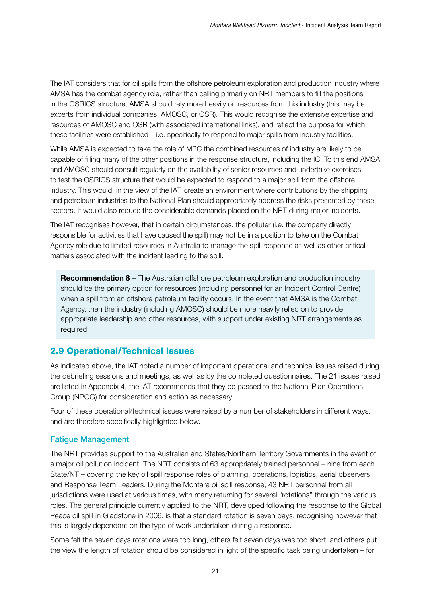The IAT considers that for oil spills from the offshore petroleum exploration and production industry where AMSA has the combat agency role, rather than calling primarily on NRT members to fill the positions in the OSRICS structure, AMSA should rely more heavily on resources from this industry (this may be experts from individual companies, AMOSC, or OSR). This would recognise the extensive expertise and resources of AMOSC and OSR (with associated international links), and reflect the purpose for which these facilities were established – i.e. specifically to respond to major spills from industry facilities.

While AMSA is expected to take the role of MPC the combined resources of industry are likely to be capable of filling many of the other positions in the response structure, including the IC. To this end AMSA and AMOSC should consult regularly on the availability of senior resources and undertake exercises to test the OSRICS structure that would be expected to respond to a major spill from the offshore industry. This would, in the view of the IAT, create an environment where contributions by the shipping and petroleum industries to the National Plan should appropriately address the risks presented by these sectors. It would also reduce the considerable demands placed on the NRT during major incidents.

The IAT recognises however, that in certain circumstances, the polluter (i.e. the company directly responsible for activities that have caused the spill) may not be in a position to take on the Combat Agency role due to limited resources in Australia to manage the spill response as well as other critical matters associated with the incident leading to the spill.

**Recommendation 8** – The Australian offshore petroleum exploration and production industry should be the primary option for resources (including personnel for an Incident Control Centre) when a spill from an offshore petroleum facility occurs. In the event that AMSA is the Combat Agency, then the industry (including AMOSC) should be more heavily relied on to provide appropriate leadership and other resources, with support under existing NRT arrangements as required.

# 2.9 Operational/Technical Issues

As indicated above, the IAT noted a number of important operational and technical issues raised during the debriefing sessions and meetings, as well as by the completed questionnaires. The 21 issues raised are listed in Appendix 4, the IAT recommends that they be passed to the National Plan Operations Group (NPOG) for consideration and action as necessary.

Four of these operational/technical issues were raised by a number of stakeholders in different ways, and are therefore specifically highlighted below.

## Fatigue Management

The NRT provides support to the Australian and States/Northern Territory Governments in the event of a major oil pollution incident. The NRT consists of 63 appropriately trained personnel – nine from each State/NT – covering the key oil spill response roles of planning, operations, logistics, aerial observers and Response Team Leaders. During the Montara oil spill response, 43 NRT personnel from all jurisdictions were used at various times, with many returning for several "rotations" through the various roles. The general principle currently applied to the NRT, developed following the response to the Global Peace oil spill in Gladstone in 2006, is that a standard rotation is seven days, recognising however that this is largely dependant on the type of work undertaken during a response.

Some felt the seven days rotations were too long, others felt seven days was too short, and others put the view the length of rotation should be considered in light of the specific task being undertaken – for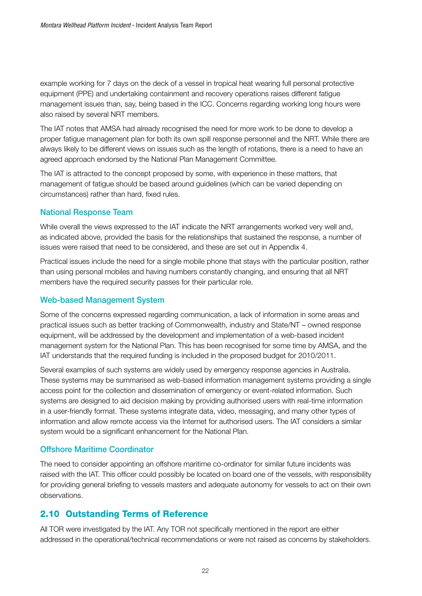example working for 7 days on the deck of a vessel in tropical heat wearing full personal protective equipment (PPE) and undertaking containment and recovery operations raises different fatigue management issues than, say, being based in the ICC. Concerns regarding working long hours were also raised by several NRT members.

The IAT notes that AMSA had already recognised the need for more work to be done to develop a proper fatigue management plan for both its own spill response personnel and the NRT. While there are always likely to be different views on issues such as the length of rotations, there is a need to have an agreed approach endorsed by the National Plan Management Committee.

The IAT is attracted to the concept proposed by some, with experience in these matters, that management of fatigue should be based around guidelines (which can be varied depending on circumstances) rather than hard, fixed rules.

### National Response Team

While overall the views expressed to the IAT indicate the NRT arrangements worked very well and, as indicated above, provided the basis for the relationships that sustained the response, a number of issues were raised that need to be considered, and these are set out in Appendix 4.

Practical issues include the need for a single mobile phone that stays with the particular position, rather than using personal mobiles and having numbers constantly changing, and ensuring that all NRT members have the required security passes for their particular role.

## Web-based Management System

Some of the concerns expressed regarding communication, a lack of information in some areas and practical issues such as better tracking of Commonwealth, industry and State/NT – owned response equipment, will be addressed by the development and implementation of a web-based incident management system for the National Plan. This has been recognised for some time by AMSA, and the IAT understands that the required funding is included in the proposed budget for 2010/2011.

Several examples of such systems are widely used by emergency response agencies in Australia. These systems may be summarised as web-based information management systems providing a single access point for the collection and dissemination of emergency or event-related information. Such systems are designed to aid decision making by providing authorised users with real-time information in a user-friendly format. These systems integrate data, video, messaging, and many other types of information and allow remote access via the Internet for authorised users. The IAT considers a similar system would be a significant enhancement for the National Plan.

## Offshore Maritime Coordinator

The need to consider appointing an offshore maritime co-ordinator for similar future incidents was raised with the IAT. This officer could possibly be located on board one of the vessels, with responsibility for providing general briefing to vessels masters and adequate autonomy for vessels to act on their own observations.

# 2.10 Outstanding Terms of Reference

All TOR were investigated by the IAT. Any TOR not specifically mentioned in the report are either addressed in the operational/technical recommendations or were not raised as concerns by stakeholders.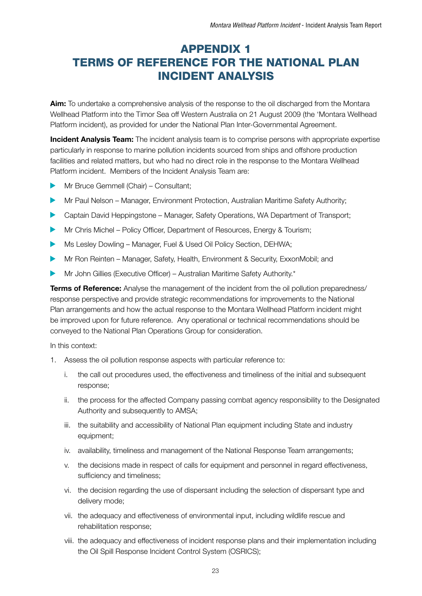# Appendix 1 Terms of Reference for the National Plan Incident Analysis

**Aim:** To undertake a comprehensive analysis of the response to the oil discharged from the Montara Wellhead Platform into the Timor Sea off Western Australia on 21 August 2009 (the 'Montara Wellhead Platform incident), as provided for under the National Plan Inter-Governmental Agreement.

**Incident Analysis Team:** The incident analysis team is to comprise persons with appropriate expertise particularly in response to marine pollution incidents sourced from ships and offshore production facilities and related matters, but who had no direct role in the response to the Montara Wellhead Platform incident. Members of the Incident Analysis Team are:

- Mr Bruce Gemmell (Chair) Consultant;
- Mr Paul Nelson Manager, Environment Protection, Australian Maritime Safety Authority;
- ▶ Captain David Heppingstone Manager, Safety Operations, WA Department of Transport;
- Mr Chris Michel Policy Officer, Department of Resources, Energy & Tourism;
- Ms Lesley Dowling Manager, Fuel & Used Oil Policy Section, DEHWA;
- Mr Ron Reinten Manager, Safety, Health, Environment & Security, ExxonMobil; and
- Mr John Gillies (Executive Officer) Australian Maritime Safety Authority.\*

**Terms of Reference:** Analyse the management of the incident from the oil pollution preparedness/ response perspective and provide strategic recommendations for improvements to the National Plan arrangements and how the actual response to the Montara Wellhead Platform incident might be improved upon for future reference. Any operational or technical recommendations should be conveyed to the National Plan Operations Group for consideration.

In this context:

- 1. Assess the oil pollution response aspects with particular reference to:
	- i. the call out procedures used, the effectiveness and timeliness of the initial and subsequent response;
	- ii. the process for the affected Company passing combat agency responsibility to the Designated Authority and subsequently to AMSA;
	- iii. the suitability and accessibility of National Plan equipment including State and industry equipment;
	- iv. availability, timeliness and management of the National Response Team arrangements;
	- v. the decisions made in respect of calls for equipment and personnel in regard effectiveness, sufficiency and timeliness;
	- vi. the decision regarding the use of dispersant including the selection of dispersant type and delivery mode;
	- vii. the adequacy and effectiveness of environmental input, including wildlife rescue and rehabilitation response;
	- viii. the adequacy and effectiveness of incident response plans and their implementation including the Oil Spill Response Incident Control System (OSRICS);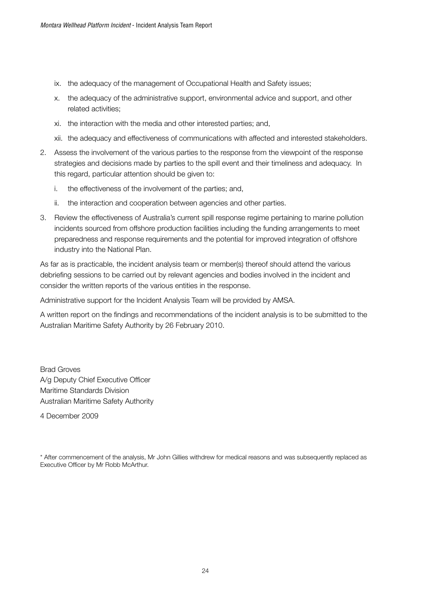- ix. the adequacy of the management of Occupational Health and Safety issues;
- x. the adequacy of the administrative support, environmental advice and support, and other related activities;
- xi. the interaction with the media and other interested parties; and,
- xii. the adequacy and effectiveness of communications with affected and interested stakeholders.
- 2. Assess the involvement of the various parties to the response from the viewpoint of the response strategies and decisions made by parties to the spill event and their timeliness and adequacy. In this regard, particular attention should be given to:
	- i. the effectiveness of the involvement of the parties; and,
	- ii. the interaction and cooperation between agencies and other parties.
- 3. Review the effectiveness of Australia's current spill response regime pertaining to marine pollution incidents sourced from offshore production facilities including the funding arrangements to meet preparedness and response requirements and the potential for improved integration of offshore industry into the National Plan.

As far as is practicable, the incident analysis team or member(s) thereof should attend the various debriefing sessions to be carried out by relevant agencies and bodies involved in the incident and consider the written reports of the various entities in the response.

Administrative support for the Incident Analysis Team will be provided by AMSA.

A written report on the findings and recommendations of the incident analysis is to be submitted to the Australian Maritime Safety Authority by 26 February 2010.

Brad Groves A/g Deputy Chief Executive Officer Maritime Standards Division Australian Maritime Safety Authority

4 December 2009

\* After commencement of the analysis, Mr John Gillies withdrew for medical reasons and was subsequently replaced as Executive Officer by Mr Robb McArthur.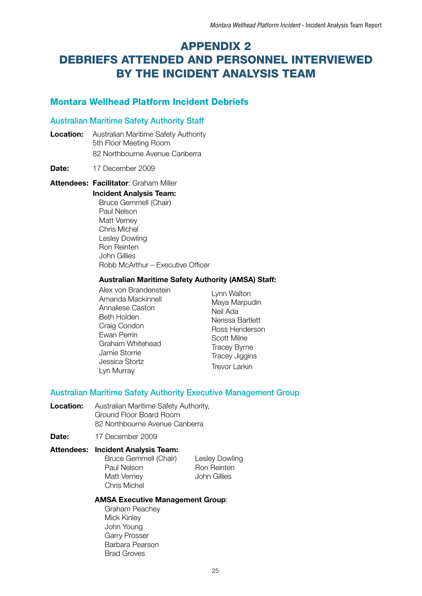# Appendix 2 Debriefs Attended and Personnel Interviewed by the Incident Analysis Team

### Montara Wellhead Platform Incident Debriefs

#### Australian Maritime Safety Authority Staff

- **Location:** Australian Maritime Safety Authority 5th Floor Meeting Room 82 Northbourne Avenue Canberra
- **Date:** 17 December 2009
- **Attendees: Facilitator**: Graham Miller

#### **Incident Analysis Team:**

Bruce Gemmell (Chair) Paul Nelson Matt Verney Chris Michel Lesley Dowling Ron Reinten John Gillies Robb McArthur – Executive Officer

#### **Australian Maritime Safety Authority (AMSA) Staff:**

Alex von Brandenstein Amanda Mackinnell Annaliese Caston Beth Holden Craig Condon Ewan Perrin Graham Whitehead Jamie Storrie Jessica Stortz Lyn Murray

Lynn Walton Maya Marpudin Neil Ada Nerissa Bartlett Ross Henderson Scott Milne Tracey Byrne Tracey Jiggins Trevor Larkin

#### Australian Maritime Safety Authority Executive Management Group

- **Location:** Australian Maritime Safety Authority, Ground Floor Board Room 82 Northbourne Avenue Canberra
- **Date:** 17 December 2009

#### **Attendees: Incident Analysis Team:**

Bruce Gemmell (Chair) Paul Nelson Matt Verney Chris Michel

Lesley Dowling Ron Reinten John Gillies

#### **AMSA Executive Management Group**:

Graham Peachey Mick Kinley John Young Garry Prosser Barbara Pearson Brad Groves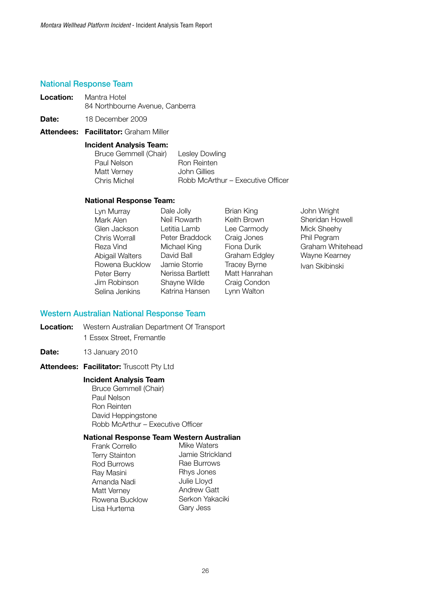#### National Response Team

- **Location:** Mantra Hotel 84 Northbourne Avenue, Canberra
- **Date:** 18 December 2009
- **Attendees: Facilitator:** Graham Miller

#### **Incident Analysis Team:**

Bruce Gemmell (Chair) Paul Nelson Matt Verney Chris Michel

Lesley Dowling Ron Reinten John Gillies Robb McArthur – Executive Officer

#### **National Response Team:**

| Lyn Murray      | Dale Jolly       | <b>Brian King</b>   |
|-----------------|------------------|---------------------|
| Mark Alen       | Neil Rowarth     | Keith Brown         |
| Glen Jackson    | Letitia Lamb     | Lee Carmody         |
| Chris Worrall   | Peter Braddock   | Craig Jones         |
| Reza Vind       | Michael King     | Fiona Durik         |
| Abigail Walters | David Ball       | Graham Edgley       |
| Rowena Bucklow  | Jamie Storrie    | <b>Tracey Byrne</b> |
| Peter Berry     | Nerissa Bartlett | Matt Hanrahan       |
| Jim Robinson    | Shayne Wilde     | Craig Condon        |
| Selina Jenkins  | Katrina Hansen   | Lynn Walton         |
|                 |                  |                     |

John Wright Sheridan Howell Mick Sheehy Phil Pegram Graham Whitehead Wayne Kearney Ivan Skibinski

#### Western Australian National Response Team

- **Location:** Western Australian Department Of Transport 1 Essex Street, Fremantle
- **Date:** 13 January 2010
- **Attendees: Facilitator:** Truscott Pty Ltd

#### **Incident Analysis Team**

Bruce Gemmell (Chair) Paul Nelson Ron Reinten David Heppingstone Robb McArthur – Executive Officer

#### **National Response Team Western Australian**

Frank Corrello Terry Stainton Rod Burrows Ray Masini Amanda Nadi Matt Verney Rowena Bucklow Lisa Hurtema Mike Waters Jamie Strickland Rae Burrows Rhys Jones Julie Lloyd Andrew Gatt Serkon Yakaciki Gary Jess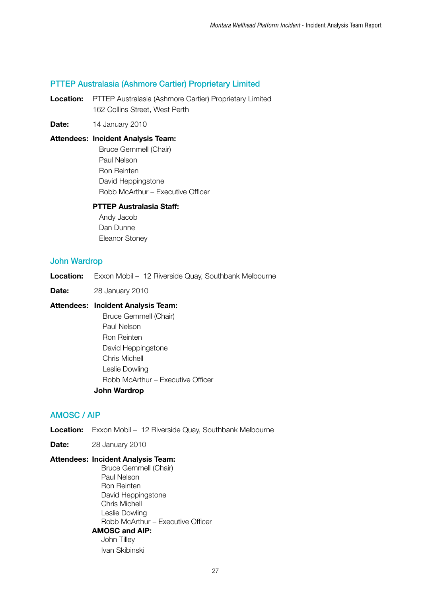#### PTTEP Australasia (Ashmore Cartier) Proprietary Limited

- **Location:** PTTEP Australasia (Ashmore Cartier) Proprietary Limited 162 Collins Street, West Perth
- **Date:** 14 January 2010

#### **Attendees: Incident Analysis Team:**

Bruce Gemmell (Chair) Paul Nelson Ron Reinten David Heppingstone Robb McArthur – Executive Officer

#### **PTTEP Australasia Staff:**

Andy Jacob Dan Dunne Eleanor Stoney

#### John Wardrop

**Location:** Exxon Mobil – 12 Riverside Quay, Southbank Melbourne

**Date:** 28 January 2010

#### **Attendees: Incident Analysis Team:**

Bruce Gemmell (Chair) Paul Nelson Ron Reinten David Heppingstone Chris Michell Leslie Dowling Robb McArthur – Executive Officer **John Wardrop**

#### AMOSC / AIP

- **Location:** Exxon Mobil 12 Riverside Quay, Southbank Melbourne
- **Date:** 28 January 2010

#### **Attendees: Incident Analysis Team:**

Bruce Gemmell (Chair) Paul Nelson Ron Reinten David Heppingstone Chris Michell Leslie Dowling Robb McArthur – Executive Officer **AMOSC and AIP:** John Tilley Ivan Skibinski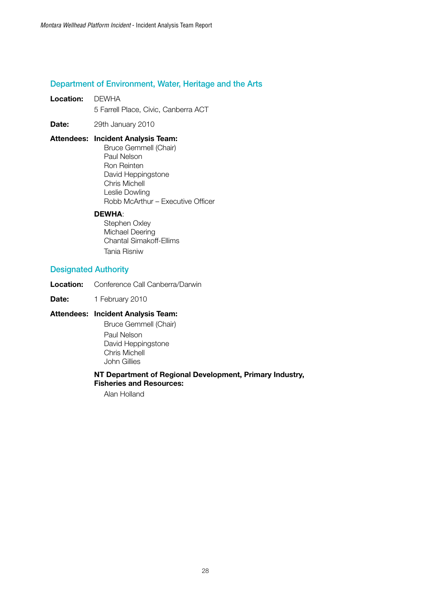#### Department of Environment, Water, Heritage and the Arts

**Location:** DEWHA 5 Farrell Place, Civic, Canberra ACT

**Date:** 29th January 2010

#### **Attendees: Incident Analysis Team:**

Bruce Gemmell (Chair) Paul Nelson Ron Reinten David Heppingstone Chris Michell Leslie Dowling Robb McArthur – Executive Officer

### **DEWHA**:

Stephen Oxley Michael Deering Chantal Simakoff-Ellims Tania Risniw

#### Designated Authority

**Location:** Conference Call Canberra/Darwin

**Date:** 1 February 2010

#### **Attendees: Incident Analysis Team:**

Bruce Gemmell (Chair) Paul Nelson David Heppingstone Chris Michell John Gillies

#### **NT Department of Regional Development, Primary Industry, Fisheries and Resources:**

Alan Holland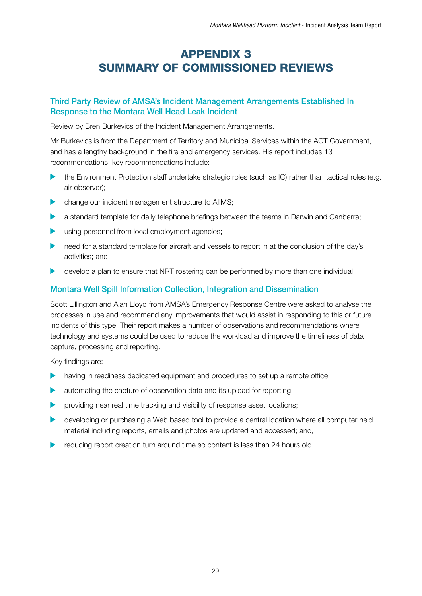# Appendix 3 Summary of Commissioned Reviews

## Third Party Review of AMSA's Incident Management Arrangements Established In Response to the Montara Well Head Leak Incident

Review by Bren Burkevics of the Incident Management Arrangements.

Mr Burkevics is from the Department of Territory and Municipal Services within the ACT Government, and has a lengthy background in the fire and emergency services. His report includes 13 recommendations, key recommendations include:

- the Environment Protection staff undertake strategic roles (such as IC) rather than tactical roles (e.g. air observer);
- change our incident management structure to AIIMS;
- a standard template for daily telephone briefings between the teams in Darwin and Canberra;
- using personnel from local employment agencies;
- need for a standard template for aircraft and vessels to report in at the conclusion of the day's activities; and
- develop a plan to ensure that NRT rostering can be performed by more than one individual.

## Montara Well Spill Information Collection, Integration and Dissemination

Scott Lillington and Alan Lloyd from AMSA's Emergency Response Centre were asked to analyse the processes in use and recommend any improvements that would assist in responding to this or future incidents of this type. Their report makes a number of observations and recommendations where technology and systems could be used to reduce the workload and improve the timeliness of data capture, processing and reporting.

Key findings are:

- having in readiness dedicated equipment and procedures to set up a remote office;
- automating the capture of observation data and its upload for reporting;
- providing near real time tracking and visibility of response asset locations;
- developing or purchasing a Web based tool to provide a central location where all computer held material including reports, emails and photos are updated and accessed; and,
- reducing report creation turn around time so content is less than 24 hours old.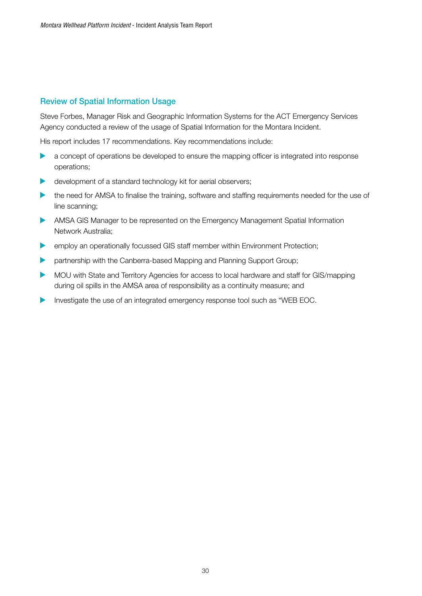## Review of Spatial Information Usage

Steve Forbes, Manager Risk and Geographic Information Systems for the ACT Emergency Services Agency conducted a review of the usage of Spatial Information for the Montara Incident.

His report includes 17 recommendations. Key recommendations include:

- a concept of operations be developed to ensure the mapping officer is integrated into response  $\blacktriangleright$ operations;
- development of a standard technology kit for aerial observers;
- the need for AMSA to finalise the training, software and staffing requirements needed for the use of line scanning;
- AMSA GIS Manager to be represented on the Emergency Management Spatial Information Network Australia;
- **EXECUTE:** employ an operationally focussed GIS staff member within Environment Protection;
- **D** partnership with the Canberra-based Mapping and Planning Support Group;
- MOU with State and Territory Agencies for access to local hardware and staff for GIS/mapping during oil spills in the AMSA area of responsibility as a continuity measure; and
- $\blacktriangleright$ Investigate the use of an integrated emergency response tool such as "WEB EOC.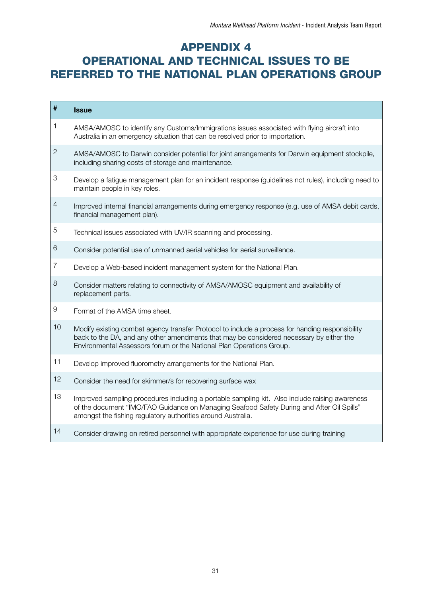# Appendix 4 Operational and Technical issues to be referred to the National Plan Operations Group

| $\pmb{\#}$     | <b>Issue</b>                                                                                                                                                                                                                                                       |
|----------------|--------------------------------------------------------------------------------------------------------------------------------------------------------------------------------------------------------------------------------------------------------------------|
| 1              | AMSA/AMOSC to identify any Customs/Immigrations issues associated with flying aircraft into<br>Australia in an emergency situation that can be resolved prior to importation.                                                                                      |
| $\sqrt{2}$     | AMSA/AMOSC to Darwin consider potential for joint arrangements for Darwin equipment stockpile,<br>including sharing costs of storage and maintenance.                                                                                                              |
| 3              | Develop a fatigue management plan for an incident response (guidelines not rules), including need to<br>maintain people in key roles.                                                                                                                              |
| $\overline{4}$ | Improved internal financial arrangements during emergency response (e.g. use of AMSA debit cards,<br>financial management plan).                                                                                                                                   |
| $\mathbf 5$    | Technical issues associated with UV/IR scanning and processing.                                                                                                                                                                                                    |
| $\,$ 6 $\,$    | Consider potential use of unmanned aerial vehicles for aerial surveillance.                                                                                                                                                                                        |
| $\overline{7}$ | Develop a Web-based incident management system for the National Plan.                                                                                                                                                                                              |
| $\,8\,$        | Consider matters relating to connectivity of AMSA/AMOSC equipment and availability of<br>replacement parts.                                                                                                                                                        |
| $\Theta$       | Format of the AMSA time sheet.                                                                                                                                                                                                                                     |
| 10             | Modify existing combat agency transfer Protocol to include a process for handing responsibility<br>back to the DA, and any other amendments that may be considered necessary by either the<br>Environmental Assessors forum or the National Plan Operations Group. |
| 11             | Develop improved fluorometry arrangements for the National Plan.                                                                                                                                                                                                   |
| 12             | Consider the need for skimmer/s for recovering surface wax                                                                                                                                                                                                         |
| 13             | Improved sampling procedures including a portable sampling kit. Also include raising awareness<br>of the document "IMO/FAO Guidance on Managing Seafood Safety During and After Oil Spills"<br>amongst the fishing regulatory authorities around Australia.        |
| 14             | Consider drawing on retired personnel with appropriate experience for use during training                                                                                                                                                                          |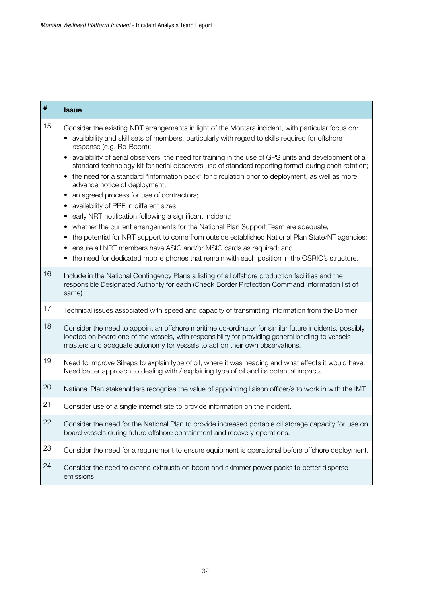| $\#$ | <b>Issue</b>                                                                                                                                                                                                                                                                                                                                                                                                                                                                                                                                                                                                                                                                                                                                                                                                                                                                                                                                                                                                                                                                                                                 |  |
|------|------------------------------------------------------------------------------------------------------------------------------------------------------------------------------------------------------------------------------------------------------------------------------------------------------------------------------------------------------------------------------------------------------------------------------------------------------------------------------------------------------------------------------------------------------------------------------------------------------------------------------------------------------------------------------------------------------------------------------------------------------------------------------------------------------------------------------------------------------------------------------------------------------------------------------------------------------------------------------------------------------------------------------------------------------------------------------------------------------------------------------|--|
| 15   | Consider the existing NRT arrangements in light of the Montara incident, with particular focus on:<br>• availability and skill sets of members, particularly with regard to skills required for offshore<br>response (e.g. Ro-Boom);<br>availability of aerial observers, the need for training in the use of GPS units and development of a<br>standard technology kit for aerial observers use of standard reporting format during each rotation;<br>• the need for a standard "information pack" for circulation prior to deployment, as well as more<br>advance notice of deployment;<br>an agreed process for use of contractors;<br>availability of PPE in different sizes;<br>early NRT notification following a significant incident;<br>whether the current arrangements for the National Plan Support Team are adequate;<br>the potential for NRT support to come from outside established National Plan State/NT agencies;<br>$\bullet$<br>ensure all NRT members have ASIC and/or MSIC cards as required; and<br>• the need for dedicated mobile phones that remain with each position in the OSRIC's structure. |  |
| 16   | Include in the National Contingency Plans a listing of all offshore production facilities and the<br>responsible Designated Authority for each (Check Border Protection Command information list of<br>same)                                                                                                                                                                                                                                                                                                                                                                                                                                                                                                                                                                                                                                                                                                                                                                                                                                                                                                                 |  |
| 17   | Technical issues associated with speed and capacity of transmitting information from the Dornier                                                                                                                                                                                                                                                                                                                                                                                                                                                                                                                                                                                                                                                                                                                                                                                                                                                                                                                                                                                                                             |  |
| 18   | Consider the need to appoint an offshore maritime co-ordinator for similar future incidents, possibly<br>located on board one of the vessels, with responsibility for providing general briefing to vessels<br>masters and adequate autonomy for vessels to act on their own observations.                                                                                                                                                                                                                                                                                                                                                                                                                                                                                                                                                                                                                                                                                                                                                                                                                                   |  |
| 19   | Need to improve Sitreps to explain type of oil, where it was heading and what effects it would have.<br>Need better approach to dealing with / explaining type of oil and its potential impacts.                                                                                                                                                                                                                                                                                                                                                                                                                                                                                                                                                                                                                                                                                                                                                                                                                                                                                                                             |  |
| 20   | National Plan stakeholders recognise the value of appointing liaison officer/s to work in with the IMT.                                                                                                                                                                                                                                                                                                                                                                                                                                                                                                                                                                                                                                                                                                                                                                                                                                                                                                                                                                                                                      |  |
| 21   | Consider use of a single internet site to provide information on the incident.                                                                                                                                                                                                                                                                                                                                                                                                                                                                                                                                                                                                                                                                                                                                                                                                                                                                                                                                                                                                                                               |  |
| 22   | Consider the need for the National Plan to provide increased portable oil storage capacity for use on<br>board vessels during future offshore containment and recovery operations.                                                                                                                                                                                                                                                                                                                                                                                                                                                                                                                                                                                                                                                                                                                                                                                                                                                                                                                                           |  |
| 23   | Consider the need for a requirement to ensure equipment is operational before offshore deployment.                                                                                                                                                                                                                                                                                                                                                                                                                                                                                                                                                                                                                                                                                                                                                                                                                                                                                                                                                                                                                           |  |
| 24   | Consider the need to extend exhausts on boom and skimmer power packs to better disperse<br>emissions.                                                                                                                                                                                                                                                                                                                                                                                                                                                                                                                                                                                                                                                                                                                                                                                                                                                                                                                                                                                                                        |  |